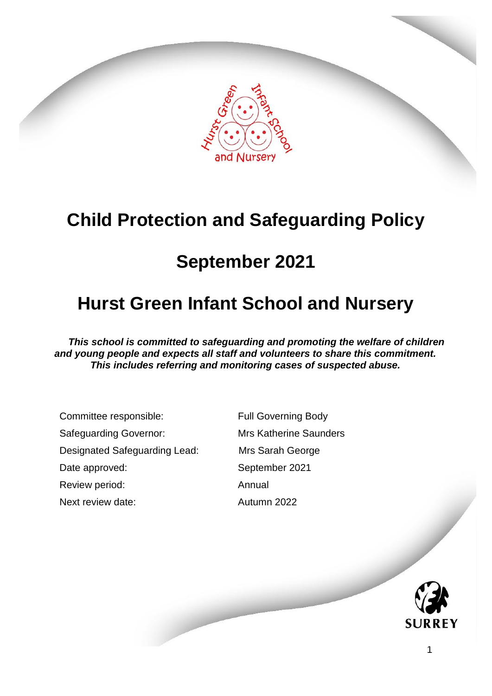

# **Child Protection and Safeguarding Policy**

# **September 2021**

# **Hurst Green Infant School and Nursery**

*This school is committed to safeguarding and promoting the welfare of children and young people and expects all staff and volunteers to share this commitment. This includes referring and monitoring cases of suspected abuse.*

Committee responsible: Full Governing Body Safeguarding Governor: Mrs Katherine Saunders Designated Safeguarding Lead: Mrs Sarah George Date approved: September 2021 Review period: Annual Next review date: Autumn 2022

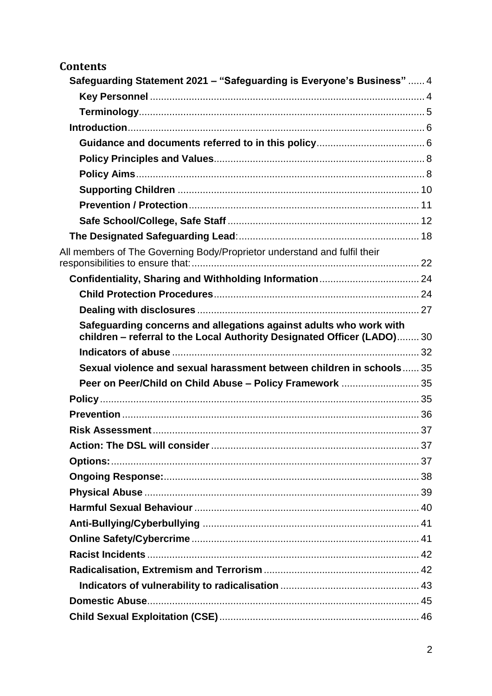| <b>Contents</b>                                                                                                                               |  |
|-----------------------------------------------------------------------------------------------------------------------------------------------|--|
| Safeguarding Statement 2021 - "Safeguarding is Everyone's Business"  4                                                                        |  |
|                                                                                                                                               |  |
|                                                                                                                                               |  |
|                                                                                                                                               |  |
|                                                                                                                                               |  |
|                                                                                                                                               |  |
|                                                                                                                                               |  |
|                                                                                                                                               |  |
|                                                                                                                                               |  |
|                                                                                                                                               |  |
|                                                                                                                                               |  |
| All members of The Governing Body/Proprietor understand and fulfil their                                                                      |  |
|                                                                                                                                               |  |
|                                                                                                                                               |  |
|                                                                                                                                               |  |
| Safeguarding concerns and allegations against adults who work with<br>children - referral to the Local Authority Designated Officer (LADO) 30 |  |
|                                                                                                                                               |  |
| Sexual violence and sexual harassment between children in schools 35                                                                          |  |
| Peer on Peer/Child on Child Abuse - Policy Framework  35                                                                                      |  |
|                                                                                                                                               |  |
|                                                                                                                                               |  |
|                                                                                                                                               |  |
|                                                                                                                                               |  |
|                                                                                                                                               |  |
|                                                                                                                                               |  |
|                                                                                                                                               |  |
|                                                                                                                                               |  |
|                                                                                                                                               |  |
|                                                                                                                                               |  |
|                                                                                                                                               |  |
|                                                                                                                                               |  |
|                                                                                                                                               |  |
|                                                                                                                                               |  |
|                                                                                                                                               |  |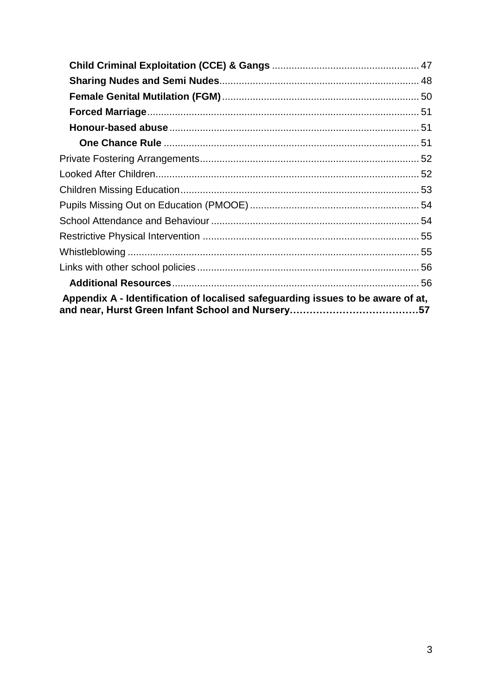| Appendix A - Identification of localised safeguarding issues to be aware of at, |  |
|---------------------------------------------------------------------------------|--|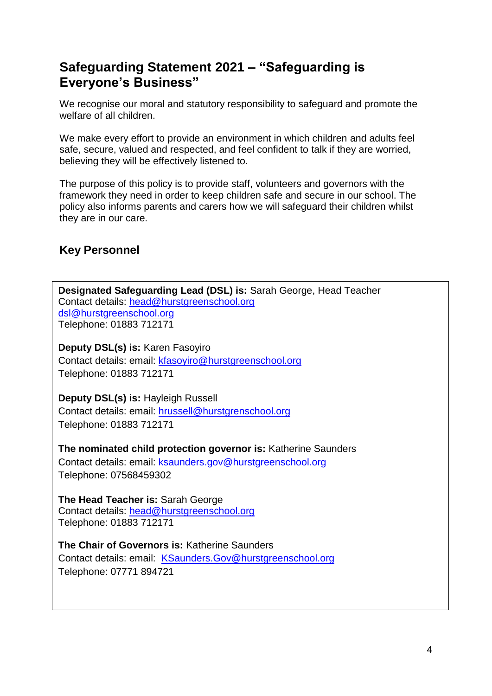# <span id="page-3-0"></span>**Safeguarding Statement 2021 – "Safeguarding is Everyone's Business"**

We recognise our moral and statutory responsibility to safeguard and promote the welfare of all children.

We make every effort to provide an environment in which children and adults feel safe, secure, valued and respected, and feel confident to talk if they are worried, believing they will be effectively listened to.

The purpose of this policy is to provide staff, volunteers and governors with the framework they need in order to keep children safe and secure in our school. The policy also informs parents and carers how we will safeguard their children whilst they are in our care.

# <span id="page-3-1"></span>**Key Personnel**

**Designated Safeguarding Lead (DSL) is:** Sarah George, Head Teacher Contact details: [head@hurstgreenschool.org](mailto:head@hurstgreenschool.org) dsl@hurstgreenschool.org Telephone: 01883 712171 **Deputy DSL(s) is:** Karen Fasoyiro Contact details: email: [kfasoyiro@hurstgreenschool.org](mailto:kfasoyiro@hurstgreenschool.org) Telephone: 01883 712171 **Deputy DSL(s) is:** Hayleigh Russell Contact details: email: [hrussell@hurstgrenschool.org](mailto:hrussell@hurstgrenschool.org) Telephone: 01883 712171 **The nominated child protection governor is:** Katherine Saunders Contact details: email: ksaunders.gov@hurstgreenschool.org Telephone: 07568459302 **The Head Teacher is:** Sarah George Contact details: [head@hurstgreenschool.org](mailto:head@hurstgreenschool.org) Telephone: 01883 712171 **The Chair of Governors is:** Katherine Saunders Contact details: email: [KSaunders.Gov@hurstgreenschool.org](mailto:KSaunders.Gov@hurstgreenschool.org) Telephone: 07771 894721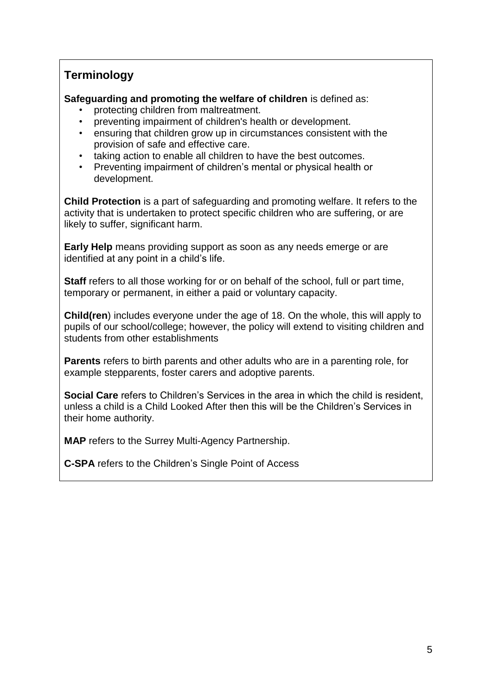# <span id="page-4-0"></span>**Terminology**

**Safeguarding and promoting the welfare of children** is defined as:

- protecting children from maltreatment.
- preventing impairment of children's health or development.
- ensuring that children grow up in circumstances consistent with the provision of safe and effective care.
- taking action to enable all children to have the best outcomes.
- Preventing impairment of children's mental or physical health or development.

**Child Protection** is a part of safeguarding and promoting welfare. It refers to the activity that is undertaken to protect specific children who are suffering, or are likely to suffer, significant harm.

**Early Help** means providing support as soon as any needs emerge or are identified at any point in a child's life.

**Staff** refers to all those working for or on behalf of the school, full or part time, temporary or permanent, in either a paid or voluntary capacity.

**Child(ren**) includes everyone under the age of 18. On the whole, this will apply to pupils of our school/college; however, the policy will extend to visiting children and students from other establishments

**Parents** refers to birth parents and other adults who are in a parenting role, for example stepparents, foster carers and adoptive parents.

**Social Care** refers to Children's Services in the area in which the child is resident, unless a child is a Child Looked After then this will be the Children's Services in their home authority.

**MAP** refers to the Surrey Multi-Agency Partnership.

**C-SPA** refers to the Children's Single Point of Access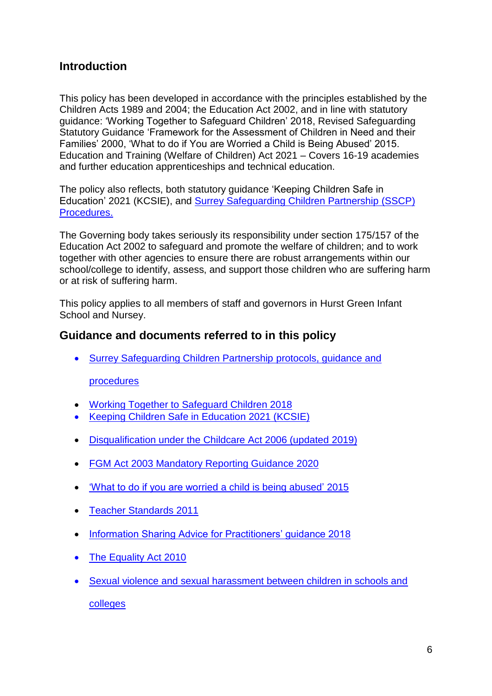## <span id="page-5-0"></span>**Introduction**

This policy has been developed in accordance with the principles established by the Children Acts 1989 and 2004; the Education Act 2002, and in line with statutory guidance: 'Working Together to Safeguard Children' 2018, Revised Safeguarding Statutory Guidance 'Framework for the Assessment of Children in Need and their Families' 2000, 'What to do if You are Worried a Child is Being Abused' 2015. Education and Training (Welfare of Children) Act 2021 – Covers 16-19 academies and further education apprenticeships and technical education.

The policy also reflects, both statutory guidance 'Keeping Children Safe in Education' 2021 (KCSIE), and [Surrey Safeguarding Children Partnership](https://www.surreyscp.org.uk/) (SSCP) [Procedures.](https://www.surreyscp.org.uk/)

The Governing body takes seriously its responsibility under section 175/157 of the Education Act 2002 to safeguard and promote the welfare of children; and to work together with other agencies to ensure there are robust arrangements within our school/college to identify, assess, and support those children who are suffering harm or at risk of suffering harm.

This policy applies to all members of staff and governors in Hurst Green Infant School and Nursey.

## <span id="page-5-1"></span>**Guidance and documents referred to in this policy**

[Surrey Safeguarding Children Partnership](https://www.surreyscp.org.uk/) protocols, guidance and

#### [procedures](https://www.surreyscp.org.uk/)

- [Working Together to Safeguard Children 2018](https://www.gov.uk/government/publications/working-together-to-safeguard-children--2)
- [Keeping Children Safe in Education 2021](https://www.gov.uk/government/publications/keeping-children-safe-in-education--2) (KCSIE)
- [Disqualification under the Childcare Act 2006 \(updated 2019\)](https://www.gov.uk/government/publications/disqualification-under-the-childcare-act-2006/disqualification-under-the-childcare-act-2006)
- [FGM Act 2003 Mandatory Reporting Guidance 2020](https://www.gov.uk/government/publications/mandatory-reporting-of-female-genital-mutilation-procedural-information)
- ['What to do if you are worried a child is being abused' 2015](https://assets.publishing.service.gov.uk/government/uploads/system/uploads/attachment_data/file/419604/What_to_do_if_you_re_worried_a_child_is_being_abused.pdf)
- [Teacher Standards](https://www.gov.uk/government/publications/teachers-standards) 2011
- [Information Sharing Advice for Practitioners' guidance 2018](https://www.gov.uk/government/publications/safeguarding-practitioners-information-sharing-advice)
- [The Equality Act 2010](https://www.gov.uk/guidance/equality-act-2010-guidance)
- [Sexual violence and sexual harassment between children in schools and](https://www.gov.uk/government/publications/sexual-violence-and-sexual-harassment-between-children-in-schools-and-colleges?utm_medium=email&utm_campaign=govuk-notifications&utm_source=6bc91204-ff8f-4da0-ac2c-2191bb2d1b16&utm_content=daily)  [colleges](https://www.gov.uk/government/publications/sexual-violence-and-sexual-harassment-between-children-in-schools-and-colleges?utm_medium=email&utm_campaign=govuk-notifications&utm_source=6bc91204-ff8f-4da0-ac2c-2191bb2d1b16&utm_content=daily)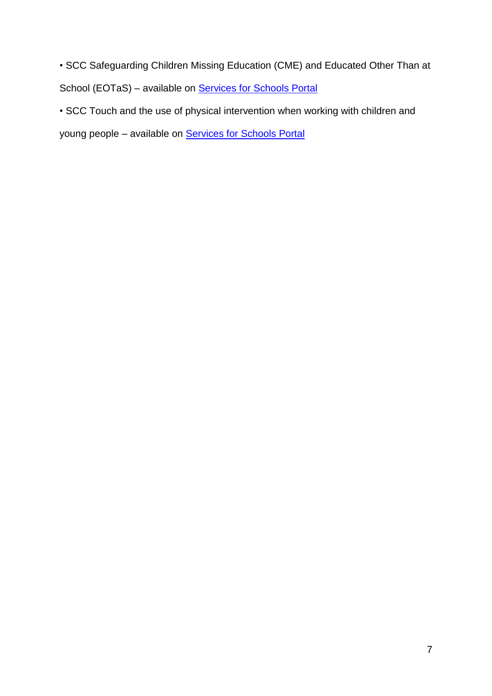• SCC Safeguarding Children Missing Education (CME) and Educated Other Than at School (EOTaS) – available on [Services for Schools Portal](https://servicesforschools.surreycc.gov.uk/)

• SCC Touch and the use of physical intervention when working with children and

young people - available on **Services for Schools Portal**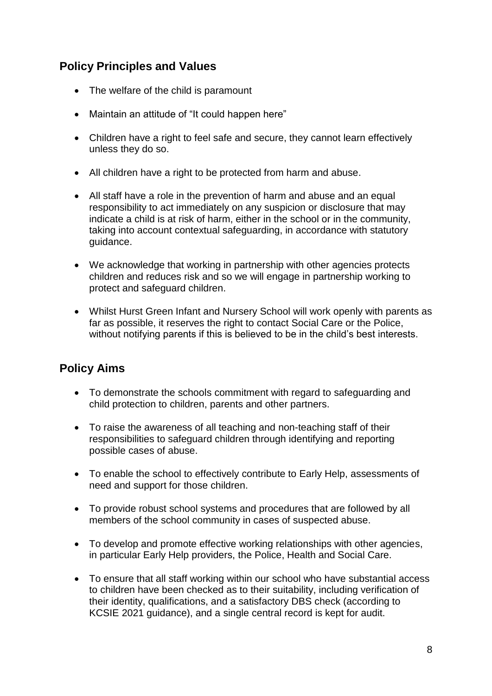## <span id="page-7-0"></span>**Policy Principles and Values**

- The welfare of the child is paramount
- Maintain an attitude of "It could happen here"
- Children have a right to feel safe and secure, they cannot learn effectively unless they do so.
- All children have a right to be protected from harm and abuse.
- All staff have a role in the prevention of harm and abuse and an equal responsibility to act immediately on any suspicion or disclosure that may indicate a child is at risk of harm, either in the school or in the community, taking into account contextual safeguarding, in accordance with statutory guidance.
- We acknowledge that working in partnership with other agencies protects children and reduces risk and so we will engage in partnership working to protect and safeguard children.
- Whilst Hurst Green Infant and Nursery School will work openly with parents as far as possible, it reserves the right to contact Social Care or the Police, without notifying parents if this is believed to be in the child's best interests.

# <span id="page-7-1"></span>**Policy Aims**

- To demonstrate the schools commitment with regard to safeguarding and child protection to children, parents and other partners.
- To raise the awareness of all teaching and non-teaching staff of their responsibilities to safeguard children through identifying and reporting possible cases of abuse.
- To enable the school to effectively contribute to Early Help, assessments of need and support for those children.
- To provide robust school systems and procedures that are followed by all members of the school community in cases of suspected abuse.
- To develop and promote effective working relationships with other agencies, in particular Early Help providers, the Police, Health and Social Care.
- To ensure that all staff working within our school who have substantial access to children have been checked as to their suitability, including verification of their identity, qualifications, and a satisfactory DBS check (according to KCSIE 2021 guidance), and a single central record is kept for audit.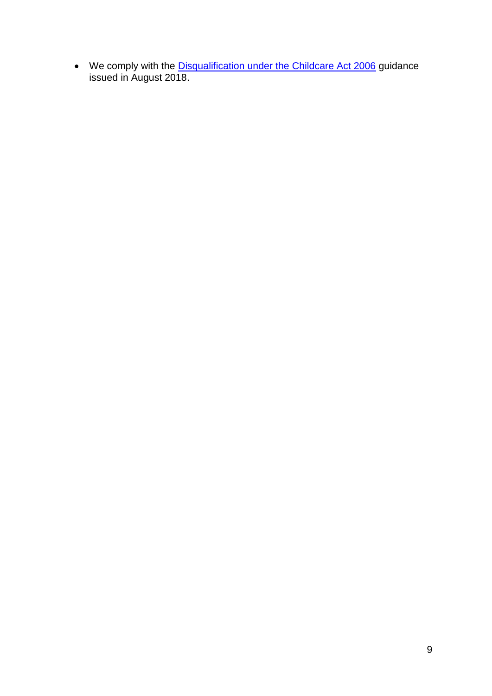• We comply with the [Disqualification under the Childcare Act 2006](https://www.gov.uk/government/publications/disqualification-under-the-childcare-act-2006/disqualification-under-the-childcare-act-2006) guidance issued in August 2018.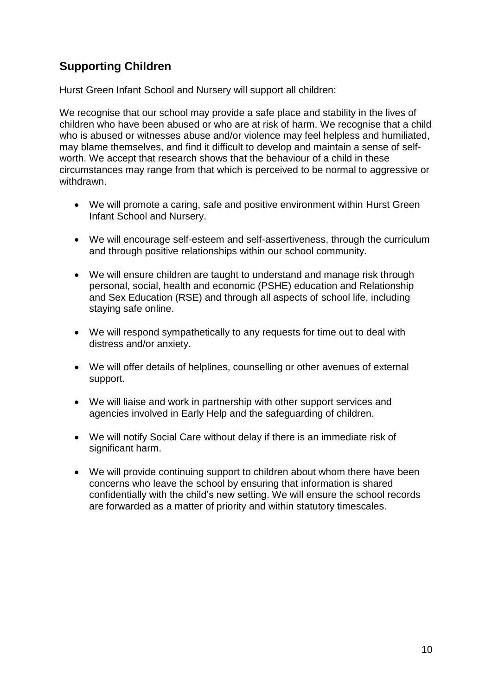# <span id="page-9-0"></span>**Supporting Children**

Hurst Green Infant School and Nursery will support all children:

We recognise that our school may provide a safe place and stability in the lives of children who have been abused or who are at risk of harm. We recognise that a child who is abused or witnesses abuse and/or violence may feel helpless and humiliated, may blame themselves, and find it difficult to develop and maintain a sense of selfworth. We accept that research shows that the behaviour of a child in these circumstances may range from that which is perceived to be normal to aggressive or withdrawn.

- We will promote a caring, safe and positive environment within Hurst Green Infant School and Nursery.
- We will encourage self-esteem and self-assertiveness, through the curriculum and through positive relationships within our school community.
- We will ensure children are taught to understand and manage risk through personal, social, health and economic (PSHE) education and Relationship and Sex Education (RSE) and through all aspects of school life, including staying safe online.
- We will respond sympathetically to any requests for time out to deal with distress and/or anxiety.
- We will offer details of helplines, counselling or other avenues of external support.
- We will liaise and work in partnership with other support services and agencies involved in Early Help and the safeguarding of children.
- We will notify Social Care without delay if there is an immediate risk of significant harm.
- We will provide continuing support to children about whom there have been concerns who leave the school by ensuring that information is shared confidentially with the child's new setting. We will ensure the school records are forwarded as a matter of priority and within statutory timescales.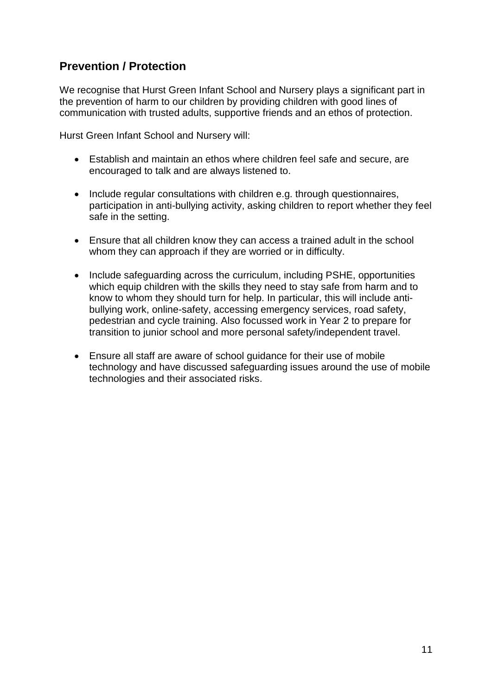# <span id="page-10-0"></span>**Prevention / Protection**

We recognise that Hurst Green Infant School and Nursery plays a significant part in the prevention of harm to our children by providing children with good lines of communication with trusted adults, supportive friends and an ethos of protection.

Hurst Green Infant School and Nursery will:

- Establish and maintain an ethos where children feel safe and secure, are encouraged to talk and are always listened to.
- Include regular consultations with children e.g. through questionnaires, participation in anti-bullying activity, asking children to report whether they feel safe in the setting.
- Ensure that all children know they can access a trained adult in the school whom they can approach if they are worried or in difficulty.
- Include safeguarding across the curriculum, including PSHE, opportunities which equip children with the skills they need to stay safe from harm and to know to whom they should turn for help. In particular, this will include antibullying work, online-safety, accessing emergency services, road safety, pedestrian and cycle training. Also focussed work in Year 2 to prepare for transition to junior school and more personal safety/independent travel.
- Ensure all staff are aware of school guidance for their use of mobile technology and have discussed safeguarding issues around the use of mobile technologies and their associated risks.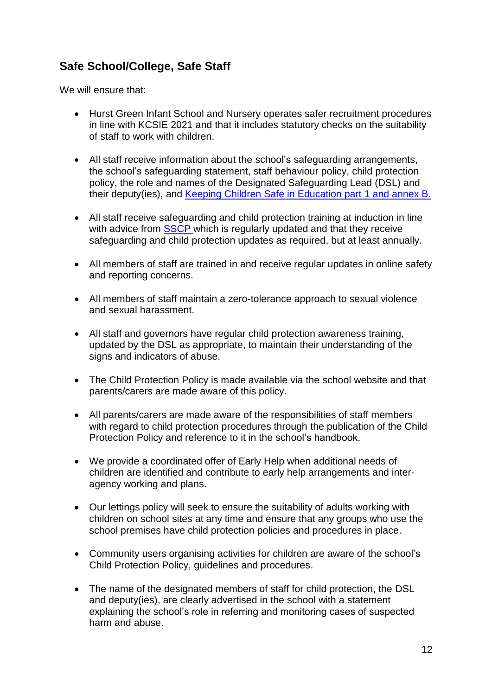# <span id="page-11-0"></span>**Safe School/College, Safe Staff**

We will ensure that:

- Hurst Green Infant School and Nursery operates safer recruitment procedures in line with KCSIE 2021 and that it includes statutory checks on the suitability of staff to work with children.
- All staff receive information about the school's safeguarding arrangements, the school's safeguarding statement, staff behaviour policy, child protection policy, the role and names of the Designated Safeguarding Lead (DSL) and their deputy(ies), and [Keeping Children Safe in Education part 1 and annex B.](https://www.gov.uk/government/publications/keeping-children-safe-in-education--2)
- All staff receive safeguarding and child protection training at induction in line with advice from [SSCP](https://www.surreyscp.org.uk/) which is regularly updated and that they receive safeguarding and child protection updates as required, but at least annually.
- All members of staff are trained in and receive regular updates in online safety and reporting concerns.
- All members of staff maintain a zero-tolerance approach to sexual violence and sexual harassment.
- All staff and governors have regular child protection awareness training, updated by the DSL as appropriate, to maintain their understanding of the signs and indicators of abuse.
- The Child Protection Policy is made available via the school website and that parents/carers are made aware of this policy.
- All parents/carers are made aware of the responsibilities of staff members with regard to child protection procedures through the publication of the Child Protection Policy and reference to it in the school's handbook.
- We provide a coordinated offer of Early Help when additional needs of children are identified and contribute to early help arrangements and interagency working and plans.
- Our lettings policy will seek to ensure the suitability of adults working with children on school sites at any time and ensure that any groups who use the school premises have child protection policies and procedures in place.
- Community users organising activities for children are aware of the school's Child Protection Policy, guidelines and procedures.
- The name of the designated members of staff for child protection, the DSL and deputy(ies), are clearly advertised in the school with a statement explaining the school's role in referring and monitoring cases of suspected harm and abuse.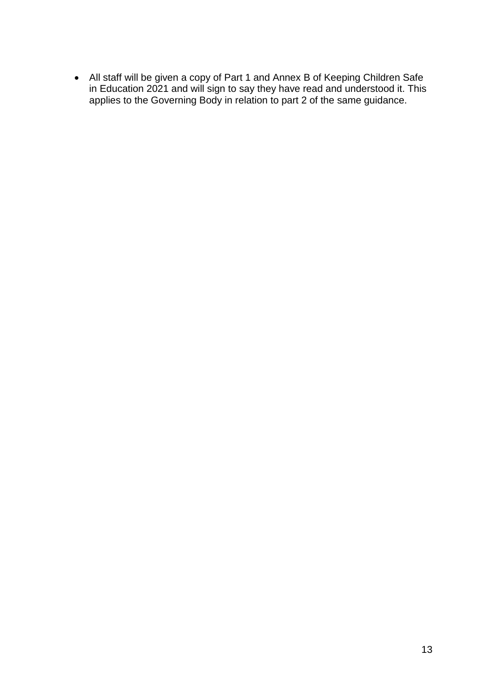All staff will be given a copy of Part 1 and Annex B of Keeping Children Safe in Education 2021 and will sign to say they have read and understood it. This applies to the Governing Body in relation to part 2 of the same guidance.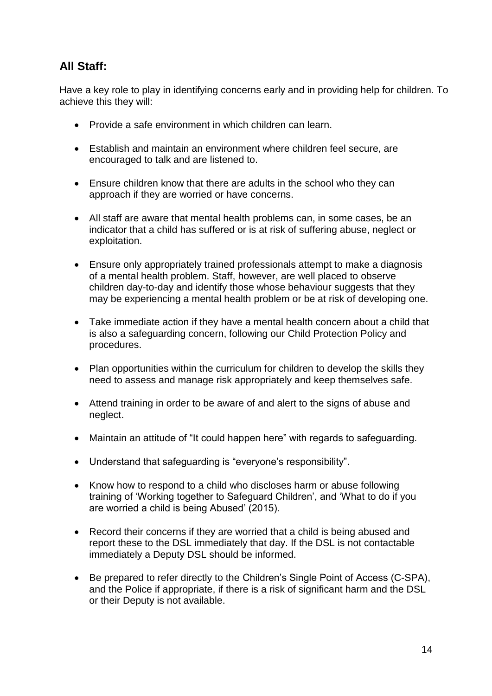# **All Staff:**

Have a key role to play in identifying concerns early and in providing help for children. To achieve this they will:

- Provide a safe environment in which children can learn.
- Establish and maintain an environment where children feel secure, are encouraged to talk and are listened to.
- Ensure children know that there are adults in the school who they can approach if they are worried or have concerns.
- All staff are aware that mental health problems can, in some cases, be an indicator that a child has suffered or is at risk of suffering abuse, neglect or exploitation.
- Ensure only appropriately trained professionals attempt to make a diagnosis of a mental health problem. Staff, however, are well placed to observe children day-to-day and identify those whose behaviour suggests that they may be experiencing a mental health problem or be at risk of developing one.
- Take immediate action if they have a mental health concern about a child that is also a safeguarding concern, following our Child Protection Policy and procedures.
- Plan opportunities within the curriculum for children to develop the skills they need to assess and manage risk appropriately and keep themselves safe.
- Attend training in order to be aware of and alert to the signs of abuse and neglect.
- Maintain an attitude of "It could happen here" with regards to safeguarding.
- Understand that safeguarding is "everyone's responsibility".
- Know how to respond to a child who discloses harm or abuse following training of 'Working together to Safeguard Children', and 'What to do if you are worried a child is being Abused' (2015).
- Record their concerns if they are worried that a child is being abused and report these to the DSL immediately that day. If the DSL is not contactable immediately a Deputy DSL should be informed.
- Be prepared to refer directly to the Children's Single Point of Access (C-SPA), and the Police if appropriate, if there is a risk of significant harm and the DSL or their Deputy is not available.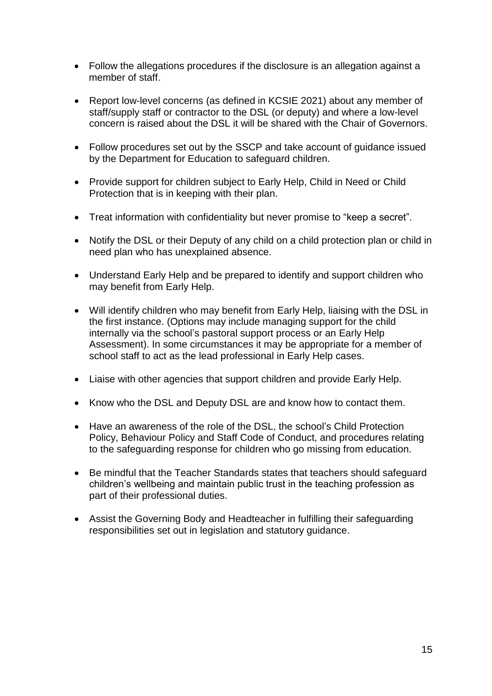- Follow the allegations procedures if the disclosure is an allegation against a member of staff.
- Report low-level concerns (as defined in KCSIE 2021) about any member of staff/supply staff or contractor to the DSL (or deputy) and where a low-level concern is raised about the DSL it will be shared with the Chair of Governors.
- Follow procedures set out by the SSCP and take account of guidance issued by the Department for Education to safeguard children.
- Provide support for children subject to Early Help, Child in Need or Child Protection that is in keeping with their plan.
- Treat information with confidentiality but never promise to "keep a secret".
- Notify the DSL or their Deputy of any child on a child protection plan or child in need plan who has unexplained absence.
- Understand Early Help and be prepared to identify and support children who may benefit from Early Help.
- Will identify children who may benefit from Early Help, liaising with the DSL in the first instance. (Options may include managing support for the child internally via the school's pastoral support process or an Early Help Assessment). In some circumstances it may be appropriate for a member of school staff to act as the lead professional in Early Help cases.
- Liaise with other agencies that support children and provide Early Help.
- Know who the DSL and Deputy DSL are and know how to contact them.
- Have an awareness of the role of the DSL, the school's Child Protection Policy, Behaviour Policy and Staff Code of Conduct, and procedures relating to the safeguarding response for children who go missing from education.
- Be mindful that the Teacher Standards states that teachers should safeguard children's wellbeing and maintain public trust in the teaching profession as part of their professional duties.
- Assist the Governing Body and Headteacher in fulfilling their safeguarding responsibilities set out in legislation and statutory guidance.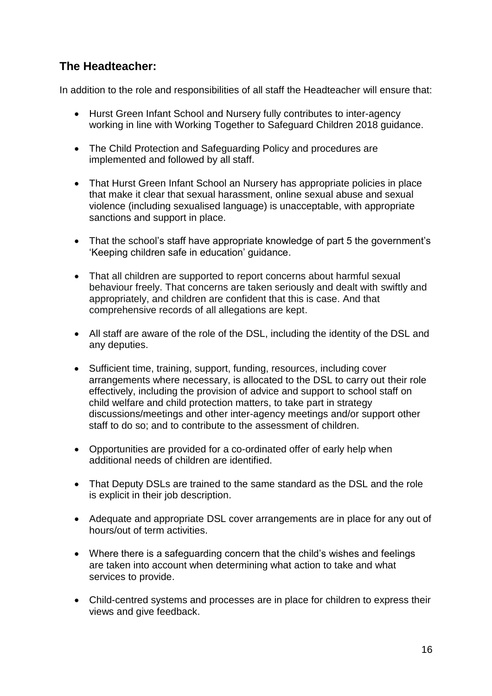## **The Headteacher:**

In addition to the role and responsibilities of all staff the Headteacher will ensure that:

- Hurst Green Infant School and Nursery fully contributes to inter-agency working in line with Working Together to Safeguard Children 2018 guidance.
- The Child Protection and Safeguarding Policy and procedures are implemented and followed by all staff.
- That Hurst Green Infant School an Nursery has appropriate policies in place that make it clear that sexual harassment, online sexual abuse and sexual violence (including sexualised language) is unacceptable, with appropriate sanctions and support in place.
- That the school's staff have appropriate knowledge of part 5 the government's 'Keeping children safe in education' guidance.
- That all children are supported to report concerns about harmful sexual behaviour freely. That concerns are taken seriously and dealt with swiftly and appropriately, and children are confident that this is case. And that comprehensive records of all allegations are kept.
- All staff are aware of the role of the DSL, including the identity of the DSL and any deputies.
- Sufficient time, training, support, funding, resources, including cover arrangements where necessary, is allocated to the DSL to carry out their role effectively, including the provision of advice and support to school staff on child welfare and child protection matters, to take part in strategy discussions/meetings and other inter-agency meetings and/or support other staff to do so; and to contribute to the assessment of children.
- Opportunities are provided for a co-ordinated offer of early help when additional needs of children are identified.
- That Deputy DSLs are trained to the same standard as the DSL and the role is explicit in their job description.
- Adequate and appropriate DSL cover arrangements are in place for any out of hours/out of term activities.
- Where there is a safeguarding concern that the child's wishes and feelings are taken into account when determining what action to take and what services to provide.
- Child-centred systems and processes are in place for children to express their views and give feedback.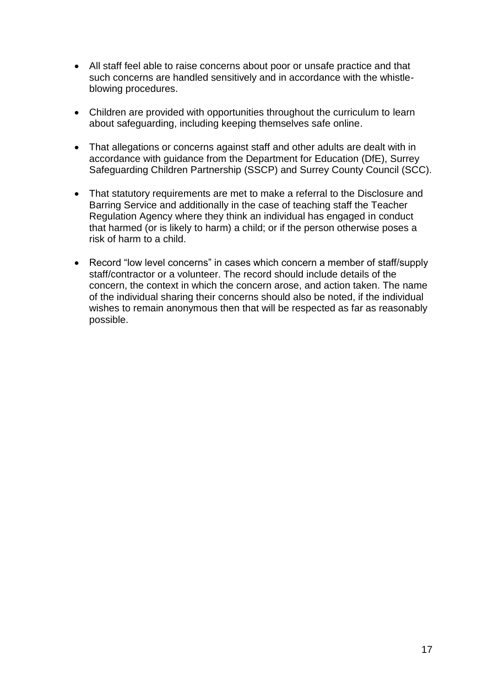- All staff feel able to raise concerns about poor or unsafe practice and that such concerns are handled sensitively and in accordance with the whistleblowing procedures.
- Children are provided with opportunities throughout the curriculum to learn about safeguarding, including keeping themselves safe online.
- That allegations or concerns against staff and other adults are dealt with in accordance with guidance from the Department for Education (DfE), Surrey Safeguarding Children Partnership (SSCP) and Surrey County Council (SCC).
- That statutory requirements are met to make a referral to the Disclosure and Barring Service and additionally in the case of teaching staff the Teacher Regulation Agency where they think an individual has engaged in conduct that harmed (or is likely to harm) a child; or if the person otherwise poses a risk of harm to a child.
- Record "low level concerns" in cases which concern a member of staff/supply staff/contractor or a volunteer. The record should include details of the concern, the context in which the concern arose, and action taken. The name of the individual sharing their concerns should also be noted, if the individual wishes to remain anonymous then that will be respected as far as reasonably possible.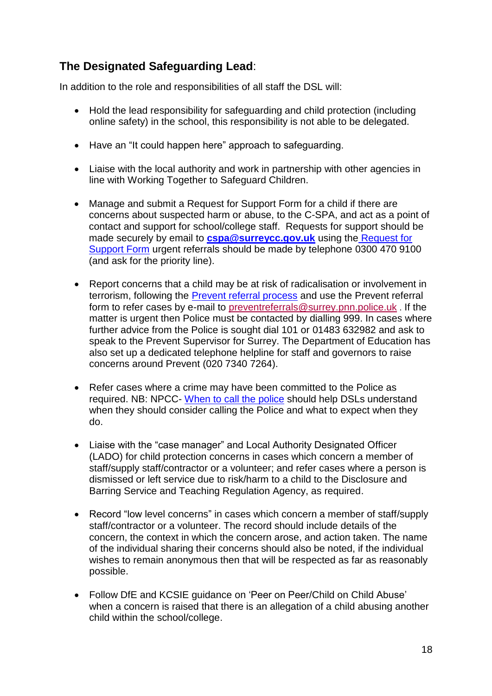# <span id="page-17-0"></span>**The Designated Safeguarding Lead**:

In addition to the role and responsibilities of all staff the DSL will:

- Hold the lead responsibility for safeguarding and child protection (including online safety) in the school, this responsibility is not able to be delegated.
- Have an "It could happen here" approach to safeguarding.
- Liaise with the local authority and work in partnership with other agencies in line with Working Together to Safeguard Children.
- Manage and submit a Request for Support Form for a child if there are concerns about suspected harm or abuse, to the C-SPA, and act as a point of contact and support for school/college staff. Requests for support should be made securely by email to **[cspa@surreycc.gov.uk](mailto:cspa@surreycc.gov.uk)** using the [Request for](https://www.surreyscb.org.uk/resources-category/sscbmultiagencyforms/)  [Support Form](https://www.surreyscb.org.uk/resources-category/sscbmultiagencyforms/) urgent referrals should be made by telephone 0300 470 9100 (and ask for the priority line).
- Report concerns that a child may be at risk of radicalisation or involvement in terrorism, following the [Prevent referral process](https://www.surreyscb.org.uk/2018/12/16/prevent-referral-process-september-2018/) and use the Prevent referral form to refer cases by e-mail to [preventreferrals@surrey.pnn.police.uk](mailto:preventreferrals@surrey.pnn.police.uk) . If the matter is urgent then Police must be contacted by dialling 999. In cases where further advice from the Police is sought dial 101 or 01483 632982 and ask to speak to the Prevent Supervisor for Surrey. The Department of Education has also set up a dedicated telephone helpline for staff and governors to raise concerns around Prevent (020 7340 7264).
- Refer cases where a crime may have been committed to the Police as required. NB: NPCC- [When to call the police](https://www.npcc.police.uk/documents/Children%20and%20Young%20people/When%20to%20call%20the%20police%20guidance%20for%20schools%20and%20colleges.pdf) should help DSLs understand when they should consider calling the Police and what to expect when they do.
- Liaise with the "case manager" and Local Authority Designated Officer (LADO) for child protection concerns in cases which concern a member of staff/supply staff/contractor or a volunteer; and refer cases where a person is dismissed or left service due to risk/harm to a child to the Disclosure and Barring Service and Teaching Regulation Agency, as required.
- Record "low level concerns" in cases which concern a member of staff/supply staff/contractor or a volunteer. The record should include details of the concern, the context in which the concern arose, and action taken. The name of the individual sharing their concerns should also be noted, if the individual wishes to remain anonymous then that will be respected as far as reasonably possible.
- Follow DfE and KCSIE guidance on 'Peer on Peer/Child on Child Abuse' when a concern is raised that there is an allegation of a child abusing another child within the school/college.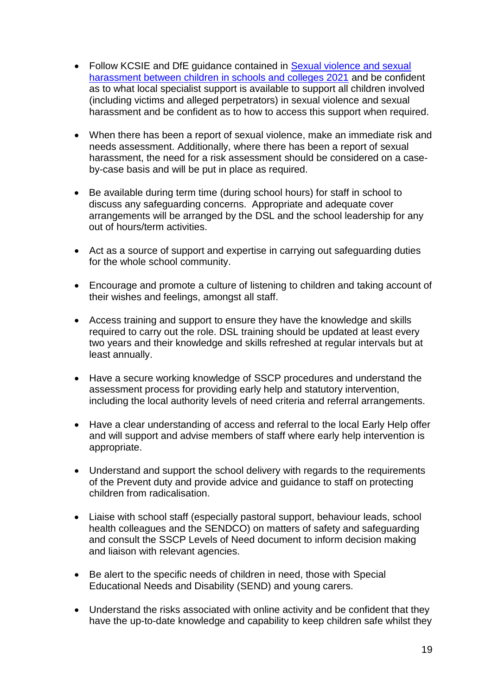- Follow KCSIE and DfE guidance contained in Sexual violence and sexual [harassment between children in schools and colleges 2021](https://www.gov.uk/government/publications/sexual-violence-and-sexual-harassment-between-children-in-schools-and-collegesBe) and be confident as to what local specialist support is available to support all children involved (including victims and alleged perpetrators) in sexual violence and sexual harassment and be confident as to how to access this support when required.
- When there has been a report of sexual violence, make an immediate risk and needs assessment. Additionally, where there has been a report of sexual harassment, the need for a risk assessment should be considered on a caseby-case basis and will be put in place as required.
- Be available during term time (during school hours) for staff in school to discuss any safeguarding concerns. Appropriate and adequate cover arrangements will be arranged by the DSL and the school leadership for any out of hours/term activities.
- Act as a source of support and expertise in carrying out safeguarding duties for the whole school community.
- Encourage and promote a culture of listening to children and taking account of their wishes and feelings, amongst all staff.
- Access training and support to ensure they have the knowledge and skills required to carry out the role. DSL training should be updated at least every two years and their knowledge and skills refreshed at regular intervals but at least annually.
- Have a secure working knowledge of SSCP procedures and understand the assessment process for providing early help and statutory intervention, including the local authority levels of need criteria and referral arrangements.
- Have a clear understanding of access and referral to the local Early Help offer and will support and advise members of staff where early help intervention is appropriate.
- Understand and support the school delivery with regards to the requirements of the Prevent duty and provide advice and guidance to staff on protecting children from radicalisation.
- Liaise with school staff (especially pastoral support, behaviour leads, school health colleagues and the SENDCO) on matters of safety and safeguarding and consult the SSCP Levels of Need document to inform decision making and liaison with relevant agencies.
- Be alert to the specific needs of children in need, those with Special Educational Needs and Disability (SEND) and young carers.
- Understand the risks associated with online activity and be confident that they have the up-to-date knowledge and capability to keep children safe whilst they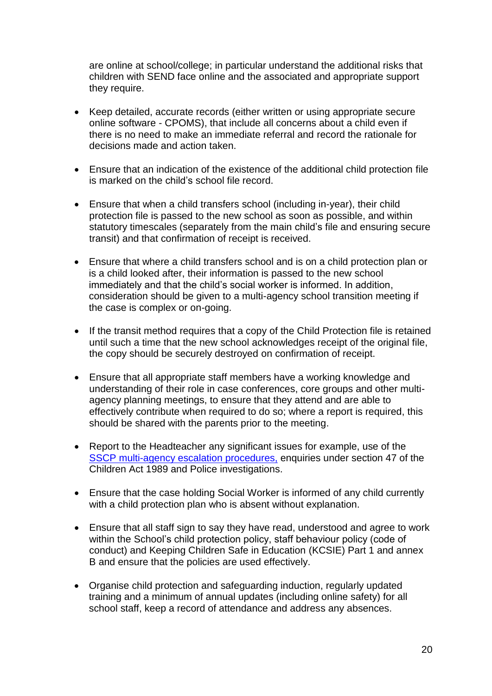are online at school/college; in particular understand the additional risks that children with SEND face online and the associated and appropriate support they require.

- Keep detailed, accurate records (either written or using appropriate secure online software - CPOMS), that include all concerns about a child even if there is no need to make an immediate referral and record the rationale for decisions made and action taken.
- Ensure that an indication of the existence of the additional child protection file is marked on the child's school file record.
- Ensure that when a child transfers school (including in-year), their child protection file is passed to the new school as soon as possible, and within statutory timescales (separately from the main child's file and ensuring secure transit) and that confirmation of receipt is received.
- Ensure that where a child transfers school and is on a child protection plan or is a child looked after, their information is passed to the new school immediately and that the child's social worker is informed. In addition, consideration should be given to a multi-agency school transition meeting if the case is complex or on-going.
- If the transit method requires that a copy of the Child Protection file is retained until such a time that the new school acknowledges receipt of the original file, the copy should be securely destroyed on confirmation of receipt.
- Ensure that all appropriate staff members have a working knowledge and understanding of their role in case conferences, core groups and other multiagency planning meetings, to ensure that they attend and are able to effectively contribute when required to do so; where a report is required, this should be shared with the parents prior to the meeting.
- R[e](https://surreyscb.procedures.org.uk/skptp/complaints-and-disagreements/inter-agency-escalation-policy-and-procedure)port to the Headteacher any significant issues for example, use of the SSCP [multi-agency escalation procedures,](https://surreyscb.procedures.org.uk/skptp/complaints-and-disagreements/inter-agency-escalation-policy-and-procedure) enquiries under section 47 of the Children Act 1989 and Police investigations.
- Ensure that the case holding Social Worker is informed of any child currently with a child protection plan who is absent without explanation.
- Ensure that all staff sign to say they have read, understood and agree to work within the School's child protection policy, staff behaviour policy (code of conduct) and Keeping Children Safe in Education (KCSIE) Part 1 and annex B and ensure that the policies are used effectively.
- Organise child protection and safeguarding induction, regularly updated training and a minimum of annual updates (including online safety) for all school staff, keep a record of attendance and address any absences.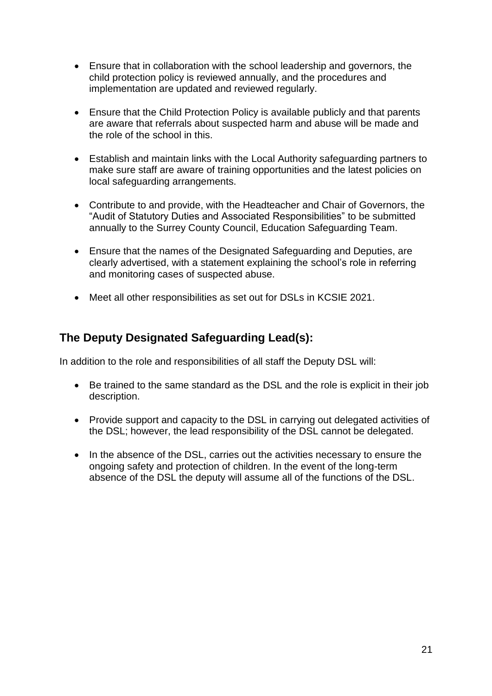- Ensure that in collaboration with the school leadership and governors, the child protection policy is reviewed annually, and the procedures and implementation are updated and reviewed regularly.
- Ensure that the Child Protection Policy is available publicly and that parents are aware that referrals about suspected harm and abuse will be made and the role of the school in this.
- Establish and maintain links with the Local Authority safeguarding partners to make sure staff are aware of training opportunities and the latest policies on local safeguarding arrangements.
- Contribute to and provide, with the Headteacher and Chair of Governors, the "Audit of Statutory Duties and Associated Responsibilities" to be submitted annually to the Surrey County Council, Education Safeguarding Team.
- Ensure that the names of the Designated Safeguarding and Deputies, are clearly advertised, with a statement explaining the school's role in referring and monitoring cases of suspected abuse.
- Meet all other responsibilities as set out for DSLs in KCSIE 2021.

# **The Deputy Designated Safeguarding Lead(s):**

In addition to the role and responsibilities of all staff the Deputy DSL will:

- Be trained to the same standard as the DSL and the role is explicit in their job description.
- Provide support and capacity to the DSL in carrying out delegated activities of the DSL; however, the lead responsibility of the DSL cannot be delegated.
- In the absence of the DSL, carries out the activities necessary to ensure the ongoing safety and protection of children. In the event of the long-term absence of the DSL the deputy will assume all of the functions of the DSL.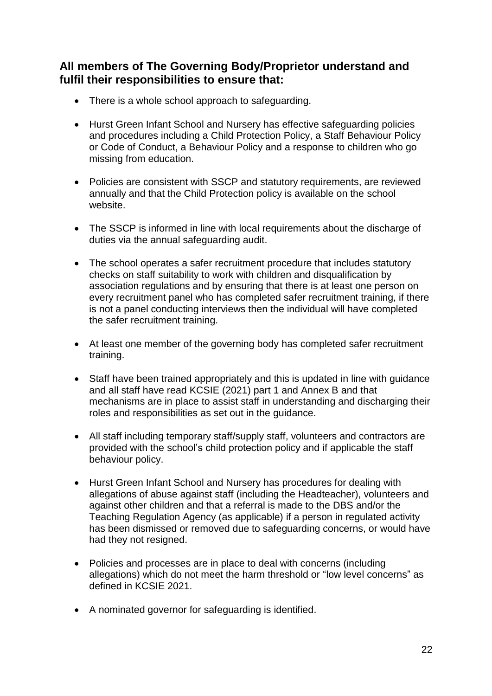## <span id="page-21-0"></span>**All members of The Governing Body/Proprietor understand and fulfil their responsibilities to ensure that:**

- There is a whole school approach to safeguarding.
- Hurst Green Infant School and Nursery has effective safeguarding policies and procedures including a Child Protection Policy, a Staff Behaviour Policy or Code of Conduct, a Behaviour Policy and a response to children who go missing from education.
- Policies are consistent with SSCP and statutory requirements, are reviewed annually and that the Child Protection policy is available on the school website.
- The SSCP is informed in line with local requirements about the discharge of duties via the annual safeguarding audit.
- The school operates a safer recruitment procedure that includes statutory checks on staff suitability to work with children and disqualification by association regulations and by ensuring that there is at least one person on every recruitment panel who has completed safer recruitment training, if there is not a panel conducting interviews then the individual will have completed the safer recruitment training.
- At least one member of the governing body has completed safer recruitment training.
- Staff have been trained appropriately and this is updated in line with guidance and all staff have read KCSIE (2021) part 1 and Annex B and that mechanisms are in place to assist staff in understanding and discharging their roles and responsibilities as set out in the guidance.
- All staff including temporary staff/supply staff, volunteers and contractors are provided with the school's child protection policy and if applicable the staff behaviour policy.
- Hurst Green Infant School and Nursery has procedures for dealing with allegations of abuse against staff (including the Headteacher), volunteers and against other children and that a referral is made to the DBS and/or the Teaching Regulation Agency (as applicable) if a person in regulated activity has been dismissed or removed due to safeguarding concerns, or would have had they not resigned.
- Policies and processes are in place to deal with concerns (including allegations) which do not meet the harm threshold or "low level concerns" as defined in KCSIE 2021.
- A nominated governor for safeguarding is identified.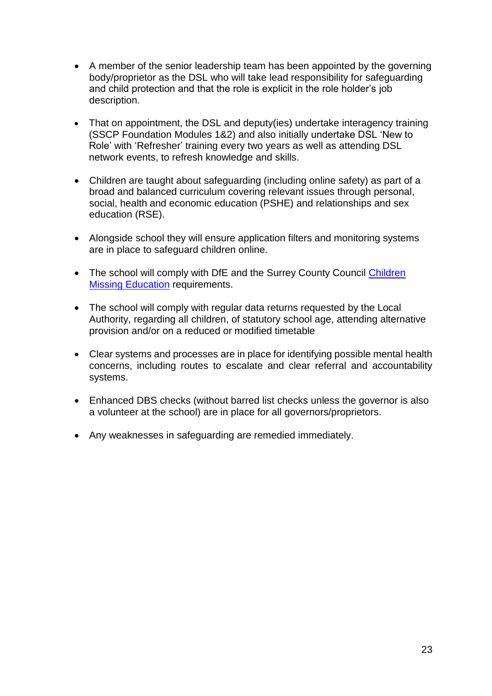- A member of the senior leadership team has been appointed by the governing body/proprietor as the DSL who will take lead responsibility for safeguarding and child protection and that the role is explicit in the role holder's job description.
- That on appointment, the DSL and deputy(ies) undertake interagency training (SSCP Foundation Modules 1&2) and also initially undertake DSL 'New to Role' with 'Refresher' training every two years as well as attending DSL network events, to refresh knowledge and skills.
- Children are taught about safeguarding (including online safety) as part of a broad and balanced curriculum covering relevant issues through personal, social, health and economic education (PSHE) and relationships and sex education (RSE).
- Alongside school they will ensure application filters and monitoring systems are in place to safeguard children online.
- The school will comply with DfE and the Surrey County Council Children [Missing Education](https://www.surreycc.gov.uk/__data/assets/pdf_file/0005/109589/Final-CME-Policy-2017-ver-2-updated-nov17.pdf) requirements.
- The school will comply with regular data returns requested by the Local Authority, regarding all children, of statutory school age, attending alternative provision and/or on a reduced or modified timetable
- Clear systems and processes are in place for identifying possible mental health concerns, including routes to escalate and clear referral and accountability systems.
- Enhanced DBS checks (without barred list checks unless the governor is also a volunteer at the school) are in place for all governors/proprietors.
- Any weaknesses in safeguarding are remedied immediately.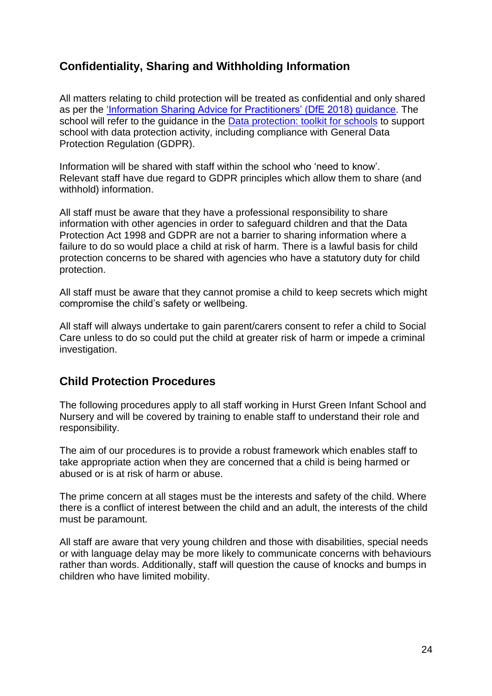## <span id="page-23-0"></span>**Confidentiality, Sharing and Withholding Information**

All matters relating to child protection will be treated as confidential and only shared as per the ['Information Sharing Advice for Practitioners' \(DfE 2018\) guidance.](https://www.gov.uk/government/publications/safeguarding-practitioners-information-sharing-advice) The school will refer to the quidance in the [Data protection: toolkit for schools](https://www.gov.uk/government/publications/data-protection-toolkit-for-schools) to support school with data protection activity, including compliance with General Data Protection Regulation (GDPR).

Information will be shared with staff within the school who 'need to know'. Relevant staff have due regard to GDPR principles which allow them to share (and withhold) information.

All staff must be aware that they have a professional responsibility to share information with other agencies in order to safeguard children and that the Data Protection Act 1998 and GDPR are not a barrier to sharing information where a failure to do so would place a child at risk of harm. There is a lawful basis for child protection concerns to be shared with agencies who have a statutory duty for child protection.

All staff must be aware that they cannot promise a child to keep secrets which might compromise the child's safety or wellbeing.

All staff will always undertake to gain parent/carers consent to refer a child to Social Care unless to do so could put the child at greater risk of harm or impede a criminal investigation.

## <span id="page-23-1"></span>**Child Protection Procedures**

The following procedures apply to all staff working in Hurst Green Infant School and Nursery and will be covered by training to enable staff to understand their role and responsibility.

The aim of our procedures is to provide a robust framework which enables staff to take appropriate action when they are concerned that a child is being harmed or abused or is at risk of harm or abuse.

The prime concern at all stages must be the interests and safety of the child. Where there is a conflict of interest between the child and an adult, the interests of the child must be paramount.

All staff are aware that very young children and those with disabilities, special needs or with language delay may be more likely to communicate concerns with behaviours rather than words. Additionally, staff will question the cause of knocks and bumps in children who have limited mobility.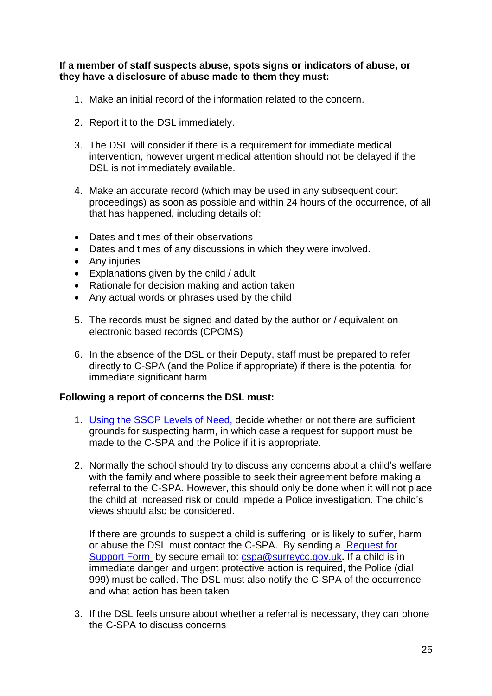#### **If a member of staff suspects abuse, spots signs or indicators of abuse, or they have a disclosure of abuse made to them they must:**

- 1. Make an initial record of the information related to the concern.
- 2. Report it to the DSL immediately.
- 3. The DSL will consider if there is a requirement for immediate medical intervention, however urgent medical attention should not be delayed if the DSL is not immediately available.
- 4. Make an accurate record (which may be used in any subsequent court proceedings) as soon as possible and within 24 hours of the occurrence, of all that has happened, including details of:
- Dates and times of their observations
- Dates and times of any discussions in which they were involved.
- Any injuries
- Explanations given by the child / adult
- Rationale for decision making and action taken
- Any actual words or phrases used by the child
- 5. The records must be signed and dated by the author or / equivalent on electronic based records (CPOMS)
- 6. In the absence of the DSL or their Deputy, staff must be prepared to refer directly to C-SPA (and the Police if appropriate) if there is the potential for immediate significant harm

#### **Following a report of concerns the DSL must:**

- 1. [Using the SSCP](https://www.surreyscp.org.uk/resources-category/effectivefamilyresiliencelevelsofneed/) Levels of Need, decide whether or not there are sufficient grounds for suspecting harm, in which case a request for support must be made to the C-SPA and the Police if it is appropriate.
- 2. Normally the school should try to discuss any concerns about a child's welfare with the family and where possible to seek their agreement before making a referral to the C-SPA. However, this should only be done when it will not place the child at increased risk or could impede a Police investigation. The child's views should also be considered.

If there are grounds to suspect a child is suffering, or is likely to suffer, harm or abuse the DSL must contact the C-SPA. By sending a [Request for](mailto:Multi-Agency%20Request%20for%20Support%20Form)  [Support Form](mailto:Multi-Agency%20Request%20for%20Support%20Form) by secure email to: [cspa@surreycc.gov.uk](mailto:cspa@surreycc.gov.uk)**.** If a child is in immediate danger and urgent protective action is required, the Police (dial 999) must be called. The DSL must also notify the C-SPA of the occurrence and what action has been taken

3. If the DSL feels unsure about whether a referral is necessary, they can phone the C-SPA to discuss concerns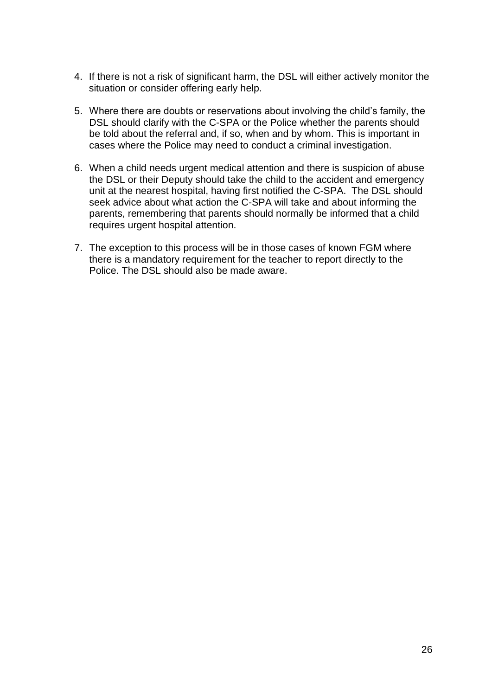- 4. If there is not a risk of significant harm, the DSL will either actively monitor the situation or consider offering early help.
- 5. Where there are doubts or reservations about involving the child's family, the DSL should clarify with the C-SPA or the Police whether the parents should be told about the referral and, if so, when and by whom. This is important in cases where the Police may need to conduct a criminal investigation.
- 6. When a child needs urgent medical attention and there is suspicion of abuse the DSL or their Deputy should take the child to the accident and emergency unit at the nearest hospital, having first notified the C-SPA. The DSL should seek advice about what action the C-SPA will take and about informing the parents, remembering that parents should normally be informed that a child requires urgent hospital attention.
- 7. The exception to this process will be in those cases of known FGM where there is a mandatory requirement for the teacher to report directly to the Police. The DSL should also be made aware.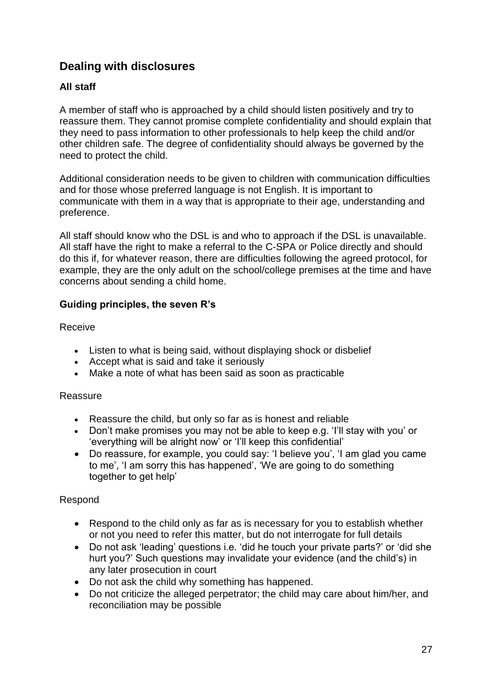## <span id="page-26-0"></span>**Dealing with disclosures**

#### **All staff**

A member of staff who is approached by a child should listen positively and try to reassure them. They cannot promise complete confidentiality and should explain that they need to pass information to other professionals to help keep the child and/or other children safe. The degree of confidentiality should always be governed by the need to protect the child.

Additional consideration needs to be given to children with communication difficulties and for those whose preferred language is not English. It is important to communicate with them in a way that is appropriate to their age, understanding and preference.

All staff should know who the DSL is and who to approach if the DSL is unavailable. All staff have the right to make a referral to the C-SPA or Police directly and should do this if, for whatever reason, there are difficulties following the agreed protocol, for example, they are the only adult on the school/college premises at the time and have concerns about sending a child home.

#### **Guiding principles, the seven R's**

Receive

- Listen to what is being said, without displaying shock or disbelief
- Accept what is said and take it seriously
- Make a note of what has been said as soon as practicable

#### Reassure

- Reassure the child, but only so far as is honest and reliable
- Don't make promises you may not be able to keep e.g. 'I'll stay with you' or 'everything will be alright now' or 'I'll keep this confidential'
- Do reassure, for example, you could say: 'I believe you', 'I am glad you came to me', 'I am sorry this has happened', 'We are going to do something together to get help'

#### Respond

- Respond to the child only as far as is necessary for you to establish whether or not you need to refer this matter, but do not interrogate for full details
- Do not ask 'leading' questions i.e. 'did he touch your private parts?' or 'did she hurt you?' Such questions may invalidate your evidence (and the child's) in any later prosecution in court
- Do not ask the child why something has happened.
- Do not criticize the alleged perpetrator; the child may care about him/her, and reconciliation may be possible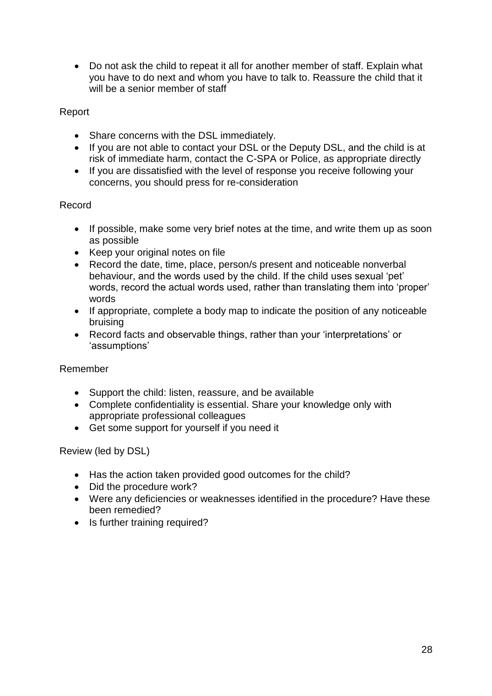Do not ask the child to repeat it all for another member of staff. Explain what you have to do next and whom you have to talk to. Reassure the child that it will be a senior member of staff

#### Report

- Share concerns with the DSL immediately.
- If you are not able to contact your DSL or the Deputy DSL, and the child is at risk of immediate harm, contact the C-SPA or Police, as appropriate directly
- If you are dissatisfied with the level of response you receive following your concerns, you should press for re-consideration

#### Record

- If possible, make some very brief notes at the time, and write them up as soon as possible
- Keep your original notes on file
- Record the date, time, place, person/s present and noticeable nonverbal behaviour, and the words used by the child. If the child uses sexual 'pet' words, record the actual words used, rather than translating them into 'proper' words
- If appropriate, complete a body map to indicate the position of any noticeable bruising
- Record facts and observable things, rather than your 'interpretations' or 'assumptions'

#### Remember

- Support the child: listen, reassure, and be available
- Complete confidentiality is essential. Share your knowledge only with appropriate professional colleagues
- Get some support for yourself if you need it

#### Review (led by DSL)

- Has the action taken provided good outcomes for the child?
- Did the procedure work?
- Were any deficiencies or weaknesses identified in the procedure? Have these been remedied?
- Is further training required?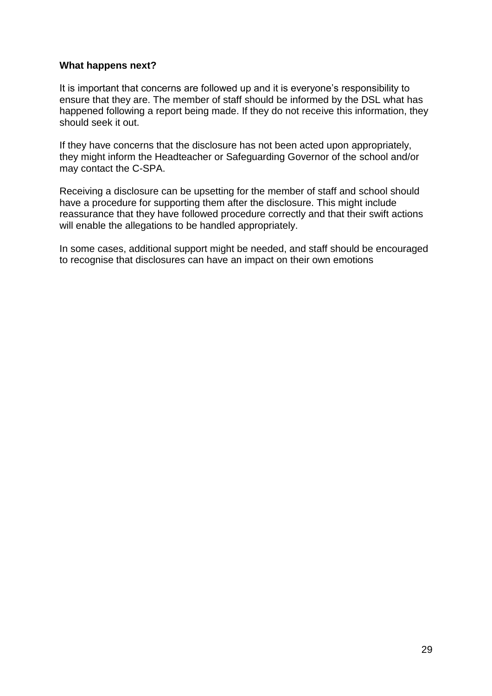#### **What happens next?**

It is important that concerns are followed up and it is everyone's responsibility to ensure that they are. The member of staff should be informed by the DSL what has happened following a report being made. If they do not receive this information, they should seek it out.

If they have concerns that the disclosure has not been acted upon appropriately, they might inform the Headteacher or Safeguarding Governor of the school and/or may contact the C-SPA.

Receiving a disclosure can be upsetting for the member of staff and school should have a procedure for supporting them after the disclosure. This might include reassurance that they have followed procedure correctly and that their swift actions will enable the allegations to be handled appropriately.

In some cases, additional support might be needed, and staff should be encouraged to recognise that disclosures can have an impact on their own emotions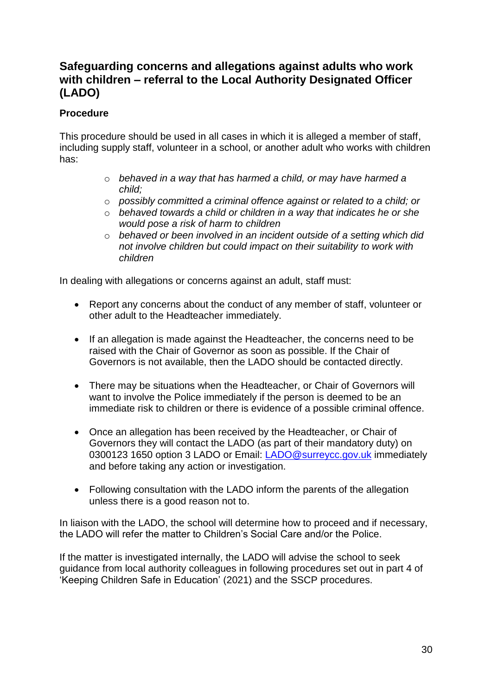## <span id="page-29-0"></span>**Safeguarding concerns and allegations against adults who work with children – referral to the Local Authority Designated Officer (LADO)**

#### **Procedure**

This procedure should be used in all cases in which it is alleged a member of staff, including supply staff, volunteer in a school, or another adult who works with children has:

- o *behaved in a way that has harmed a child, or may have harmed a child;*
- o *possibly committed a criminal offence against or related to a child; or*
- o *behaved towards a child or children in a way that indicates he or she would pose a risk of harm to children*
- o *behaved or been involved in an incident outside of a setting which did not involve children but could impact on their suitability to work with children*

In dealing with allegations or concerns against an adult, staff must:

- Report any concerns about the conduct of any member of staff, volunteer or other adult to the Headteacher immediately.
- If an allegation is made against the Headteacher, the concerns need to be raised with the Chair of Governor as soon as possible. If the Chair of Governors is not available, then the LADO should be contacted directly.
- There may be situations when the Headteacher, or Chair of Governors will want to involve the Police immediately if the person is deemed to be an immediate risk to children or there is evidence of a possible criminal offence.
- Once an allegation has been received by the Headteacher, or Chair of Governors they will contact the LADO (as part of their mandatory duty) on 0300123 1650 option 3 LADO or Email: [LADO@surreycc.gov.uk](mailto:LADO@surreycc.gov.uk) immediately and before taking any action or investigation.
- Following consultation with the LADO inform the parents of the allegation unless there is a good reason not to.

In liaison with the LADO, the school will determine how to proceed and if necessary, the LADO will refer the matter to Children's Social Care and/or the Police.

If the matter is investigated internally, the LADO will advise the school to seek guidance from local authority colleagues in following procedures set out in part 4 of 'Keeping Children Safe in Education' (2021) and the SSCP procedures.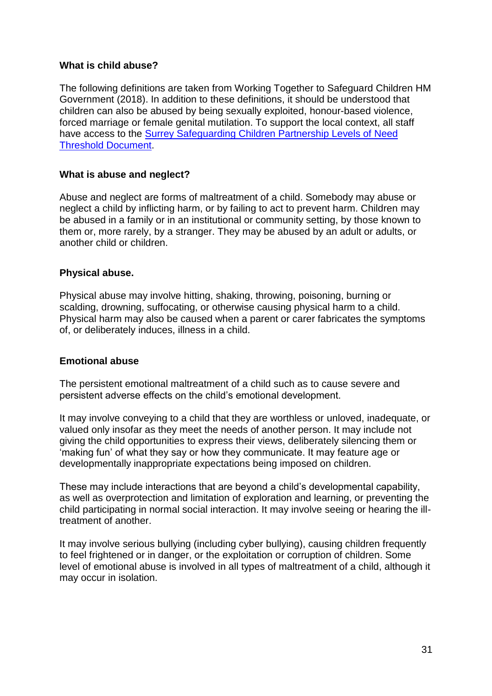#### **What is child abuse?**

The following definitions are taken from Working Together to Safeguard Children HM Government (2018). In addition to these definitions, it should be understood that children can also be abused by being sexually exploited, honour-based violence, forced marriage or female genital mutilation. To support the local context, all staff have access to the [Surrey Safeguarding Children Partnership](https://www.surreyscb.org.uk/wp-content/uploads/2018/12/Effective-family-resilience-SSCB-Final-March-2019-1.pdf) Levels of Need [Threshold Document.](https://www.surreyscb.org.uk/wp-content/uploads/2018/12/Effective-family-resilience-SSCB-Final-March-2019-1.pdf)

#### **What is abuse and neglect?**

Abuse and neglect are forms of maltreatment of a child. Somebody may abuse or neglect a child by inflicting harm, or by failing to act to prevent harm. Children may be abused in a family or in an institutional or community setting, by those known to them or, more rarely, by a stranger. They may be abused by an adult or adults, or another child or children.

#### **Physical abuse.**

Physical abuse may involve hitting, shaking, throwing, poisoning, burning or scalding, drowning, suffocating, or otherwise causing physical harm to a child. Physical harm may also be caused when a parent or carer fabricates the symptoms of, or deliberately induces, illness in a child.

#### **Emotional abuse**

The persistent emotional maltreatment of a child such as to cause severe and persistent adverse effects on the child's emotional development.

It may involve conveying to a child that they are worthless or unloved, inadequate, or valued only insofar as they meet the needs of another person. It may include not giving the child opportunities to express their views, deliberately silencing them or 'making fun' of what they say or how they communicate. It may feature age or developmentally inappropriate expectations being imposed on children.

These may include interactions that are beyond a child's developmental capability, as well as overprotection and limitation of exploration and learning, or preventing the child participating in normal social interaction. It may involve seeing or hearing the illtreatment of another.

It may involve serious bullying (including cyber bullying), causing children frequently to feel frightened or in danger, or the exploitation or corruption of children. Some level of emotional abuse is involved in all types of maltreatment of a child, although it may occur in isolation.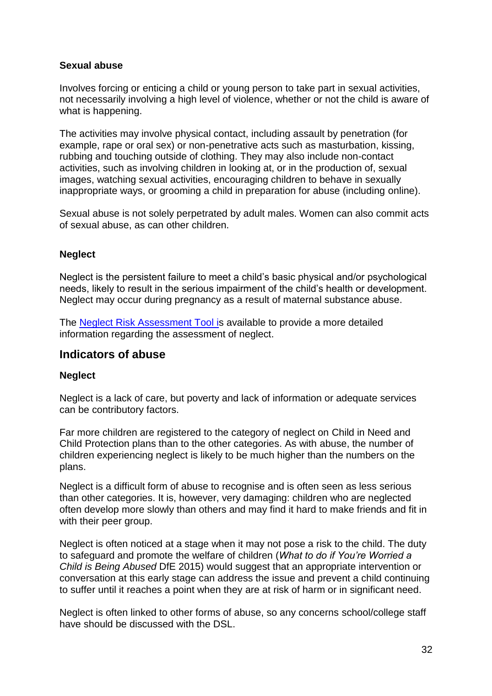#### **Sexual abuse**

Involves forcing or enticing a child or young person to take part in sexual activities, not necessarily involving a high level of violence, whether or not the child is aware of what is happening.

The activities may involve physical contact, including assault by penetration (for example, rape or oral sex) or non-penetrative acts such as masturbation, kissing, rubbing and touching outside of clothing. They may also include non-contact activities, such as involving children in looking at, or in the production of, sexual images, watching sexual activities, encouraging children to behave in sexually inappropriate ways, or grooming a child in preparation for abuse (including online).

Sexual abuse is not solely perpetrated by adult males. Women can also commit acts of sexual abuse, as can other children.

#### **Neglect**

Neglect is the persistent failure to meet a child's basic physical and/or psychological needs, likely to result in the serious impairment of the child's health or development. Neglect may occur during pregnancy as a result of maternal substance abuse.

The [Neglect Risk Assessment Tool is](https://www.surreyscb.org.uk/resources-category/sscbmultiagencyforms/) available to provide a more detailed information regarding the assessment of neglect.

#### <span id="page-31-0"></span>**Indicators of abuse**

#### **Neglect**

Neglect is a lack of care, but poverty and lack of information or adequate services can be contributory factors.

Far more children are registered to the category of neglect on Child in Need and Child Protection plans than to the other categories. As with abuse, the number of children experiencing neglect is likely to be much higher than the numbers on the plans.

Neglect is a difficult form of abuse to recognise and is often seen as less serious than other categories. It is, however, very damaging: children who are neglected often develop more slowly than others and may find it hard to make friends and fit in with their peer group.

Neglect is often noticed at a stage when it may not pose a risk to the child. The duty to safeguard and promote the welfare of children (*What to do if You're Worried a Child is Being Abused* DfE 2015) would suggest that an appropriate intervention or conversation at this early stage can address the issue and prevent a child continuing to suffer until it reaches a point when they are at risk of harm or in significant need.

Neglect is often linked to other forms of abuse, so any concerns school/college staff have should be discussed with the DSL.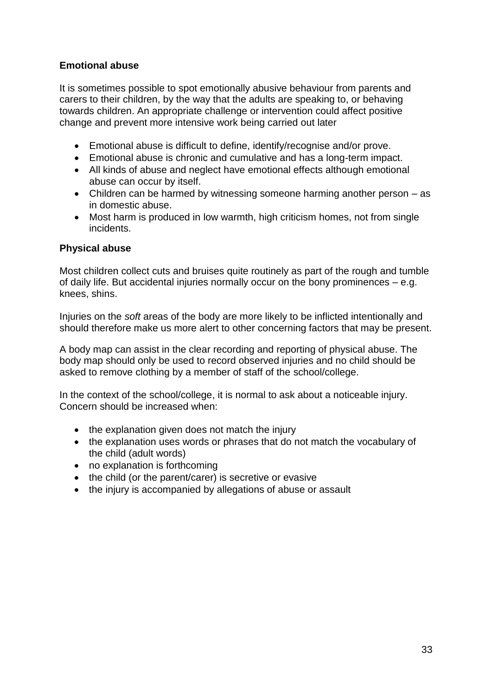#### **Emotional abuse**

It is sometimes possible to spot emotionally abusive behaviour from parents and carers to their children, by the way that the adults are speaking to, or behaving towards children. An appropriate challenge or intervention could affect positive change and prevent more intensive work being carried out later

- Emotional abuse is difficult to define, identify/recognise and/or prove.
- Emotional abuse is chronic and cumulative and has a long-term impact.
- All kinds of abuse and neglect have emotional effects although emotional abuse can occur by itself.
- Children can be harmed by witnessing someone harming another person as in domestic abuse.
- Most harm is produced in low warmth, high criticism homes, not from single incidents.

#### **Physical abuse**

Most children collect cuts and bruises quite routinely as part of the rough and tumble of daily life. But accidental injuries normally occur on the bony prominences – e.g. knees, shins.

Injuries on the *soft* areas of the body are more likely to be inflicted intentionally and should therefore make us more alert to other concerning factors that may be present.

A body map can assist in the clear recording and reporting of physical abuse. The body map should only be used to record observed injuries and no child should be asked to remove clothing by a member of staff of the school/college.

In the context of the school/college, it is normal to ask about a noticeable injury. Concern should be increased when:

- the explanation given does not match the injury
- the explanation uses words or phrases that do not match the vocabulary of the child (adult words)
- no explanation is forthcoming
- the child (or the parent/carer) is secretive or evasive
- the injury is accompanied by allegations of abuse or assault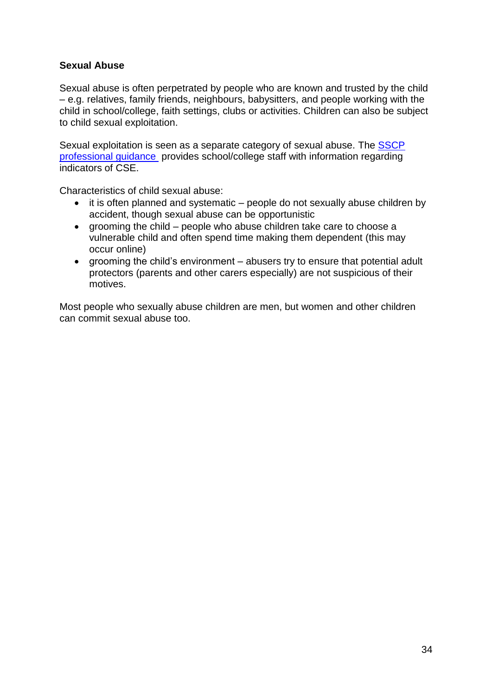#### **Sexual Abuse**

Sexual abuse is often perpetrated by people who are known and trusted by the child – e.g. relatives, family friends, neighbours, babysitters, and people working with the child in school/college, faith settings, clubs or activities. Children can also be subject to child sexual exploitation.

Sexual exploitation is seen as a separate category of sexual abuse. The [SSCP](https://www.surreyscp.org.uk/resources-category/cse/) [professional guidance](https://www.surreyscp.org.uk/resources-category/cse/) provides school/college staff with information regarding indicators of CSE.

Characteristics of child sexual abuse:

- it is often planned and systematic people do not sexually abuse children by accident, though sexual abuse can be opportunistic
- grooming the child people who abuse children take care to choose a vulnerable child and often spend time making them dependent (this may occur online)
- grooming the child's environment abusers try to ensure that potential adult protectors (parents and other carers especially) are not suspicious of their motives.

Most people who sexually abuse children are men, but women and other children can commit sexual abuse too.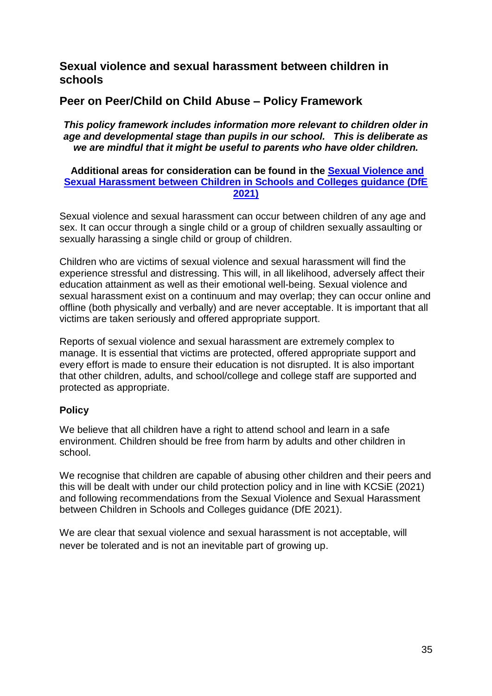## <span id="page-34-0"></span>**Sexual violence and sexual harassment between children in schools**

## <span id="page-34-1"></span>**Peer on Peer/Child on Child Abuse – Policy Framework**

*This policy framework includes information more relevant to children older in age and developmental stage than pupils in our school. This is deliberate as we are mindful that it might be useful to parents who have older children.*

#### **Additional areas for consideration can be found in the [Sexual Violence and](https://www.gov.uk/government/publications/sexual-violence-and-sexual-harassment-between-children-in-schools-and-collegesBe)  Sexual [Harassment between Children in Schools and Colleges guidance \(DfE](https://www.gov.uk/government/publications/sexual-violence-and-sexual-harassment-between-children-in-schools-and-collegesBe)  [2021\)](https://www.gov.uk/government/publications/sexual-violence-and-sexual-harassment-between-children-in-schools-and-collegesBe)**

Sexual violence and sexual harassment can occur between children of any age and sex. It can occur through a single child or a group of children sexually assaulting or sexually harassing a single child or group of children.

Children who are victims of sexual violence and sexual harassment will find the experience stressful and distressing. This will, in all likelihood, adversely affect their education attainment as well as their emotional well-being. Sexual violence and sexual harassment exist on a continuum and may overlap; they can occur online and offline (both physically and verbally) and are never acceptable. It is important that all victims are taken seriously and offered appropriate support.

Reports of sexual violence and sexual harassment are extremely complex to manage. It is essential that victims are protected, offered appropriate support and every effort is made to ensure their education is not disrupted. It is also important that other children, adults, and school/college and college staff are supported and protected as appropriate.

#### <span id="page-34-2"></span>**Policy**

We believe that all children have a right to attend school and learn in a safe environment. Children should be free from harm by adults and other children in school.

We recognise that children are capable of abusing other children and their peers and this will be dealt with under our child protection policy and in line with KCSiE (2021) and following recommendations from the [Sexual Violence and Sexual Harassment](https://www.gov.uk/government/publications/sexual-violence-and-sexual-harassment-between-children-in-schools-and-collegesBe)  [between Children in Schools and Colleges guidance \(DfE 2021\).](https://www.gov.uk/government/publications/sexual-violence-and-sexual-harassment-between-children-in-schools-and-collegesBe)

We are clear that sexual violence and sexual harassment is not acceptable, will never be tolerated and is not an inevitable part of growing up.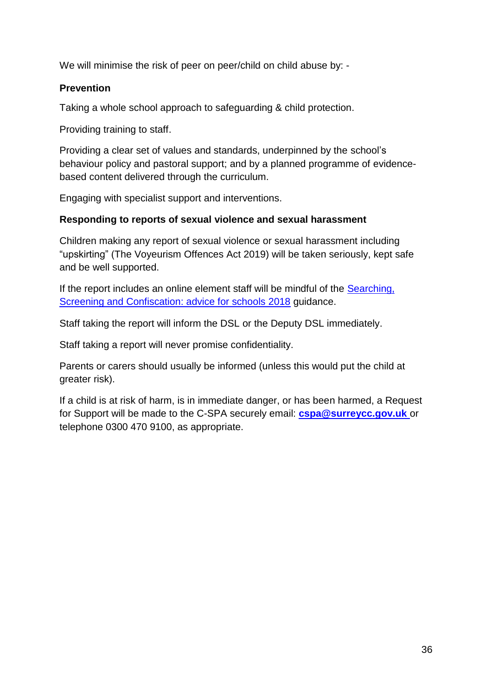We will minimise the risk of peer on peer/child on child abuse by: -

#### <span id="page-35-0"></span>**Prevention**

Taking a whole school approach to safeguarding & child protection.

Providing training to staff.

Providing a clear set of values and standards, underpinned by the school's behaviour policy and pastoral support; and by a planned programme of evidencebased content delivered through the curriculum.

Engaging with specialist support and interventions.

#### **Responding to reports of sexual violence and sexual harassment**

Children making any report of sexual violence or sexual harassment including "upskirting" (The Voyeurism Offences Act 2019) will be taken seriously, kept safe and be well supported.

If the report includes an online element staff will be mindful of the [Searching,](https://assets.publishing.service.gov.uk/government/uploads/system/uploads/attachment_data/file/674416/Searching_screening_and_confiscation.pdf)  [Screening and Confiscation: advice for schools](https://assets.publishing.service.gov.uk/government/uploads/system/uploads/attachment_data/file/674416/Searching_screening_and_confiscation.pdf) 2018 guidance.

Staff taking the report will inform the DSL or the Deputy DSL immediately.

Staff taking a report will never promise confidentiality.

Parents or carers should usually be informed (unless this would put the child at greater risk).

If a child is at risk of harm, is in immediate danger, or has been harmed, a Request for Support will be made to the C-SPA securely email: **[cspa@surreycc.gov.uk](mailto:cspa@surreycc.gov.uk)** or telephone 0300 470 9100, as appropriate.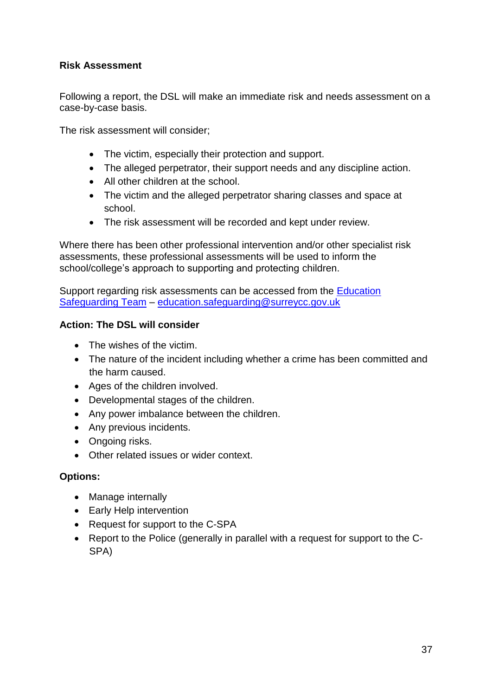#### <span id="page-36-0"></span>**Risk Assessment**

Following a report, the DSL will make an immediate risk and needs assessment on a case-by-case basis.

The risk assessment will consider;

- The victim, especially their protection and support.
- The alleged perpetrator, their support needs and any discipline action.
- All other children at the school.
- The victim and the alleged perpetrator sharing classes and space at school.
- The risk assessment will be recorded and kept under review.

Where there has been other professional intervention and/or other specialist risk assessments, these professional assessments will be used to inform the school/college's approach to supporting and protecting children.

Support regarding risk assessments can be accessed from the [Education](https://www.surreycc.gov.uk/schools-and-learning/teachers-and-education-staff/educational-advice-and-support/safeguarding)  [Safeguarding Team](https://www.surreycc.gov.uk/schools-and-learning/teachers-and-education-staff/educational-advice-and-support/safeguarding) – [education.safeguarding@surreycc.gov.uk](mailto:education.safeguarding@surreycc.gov.uk)

#### <span id="page-36-1"></span>**Action: The DSL will consider**

- The wishes of the victim.
- The nature of the incident including whether a crime has been committed and the harm caused.
- Ages of the children involved.
- Developmental stages of the children.
- Any power imbalance between the children.
- Any previous incidents.
- Ongoing risks.
- Other related issues or wider context.

#### <span id="page-36-2"></span>**Options:**

- Manage internally
- Early Help intervention
- Request for support to the C-SPA
- Report to the Police (generally in parallel with a request for support to the C-SPA)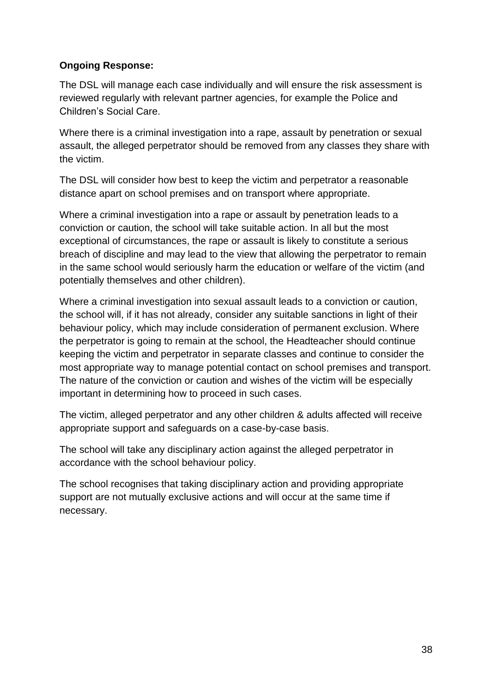#### <span id="page-37-0"></span>**Ongoing Response:**

The DSL will manage each case individually and will ensure the risk assessment is reviewed regularly with relevant partner agencies, for example the Police and Children's Social Care.

Where there is a criminal investigation into a rape, assault by penetration or sexual assault, the alleged perpetrator should be removed from any classes they share with the victim.

The DSL will consider how best to keep the victim and perpetrator a reasonable distance apart on school premises and on transport where appropriate.

Where a criminal investigation into a rape or assault by penetration leads to a conviction or caution, the school will take suitable action. In all but the most exceptional of circumstances, the rape or assault is likely to constitute a serious breach of discipline and may lead to the view that allowing the perpetrator to remain in the same school would seriously harm the education or welfare of the victim (and potentially themselves and other children).

Where a criminal investigation into sexual assault leads to a conviction or caution, the school will, if it has not already, consider any suitable sanctions in light of their behaviour policy, which may include consideration of permanent exclusion. Where the perpetrator is going to remain at the school, the Headteacher should continue keeping the victim and perpetrator in separate classes and continue to consider the most appropriate way to manage potential contact on school premises and transport. The nature of the conviction or caution and wishes of the victim will be especially important in determining how to proceed in such cases.

The victim, alleged perpetrator and any other children & adults affected will receive appropriate support and safeguards on a case-by-case basis.

The school will take any disciplinary action against the alleged perpetrator in accordance with the school behaviour policy.

The school recognises that taking disciplinary action and providing appropriate support are not mutually exclusive actions and will occur at the same time if necessary.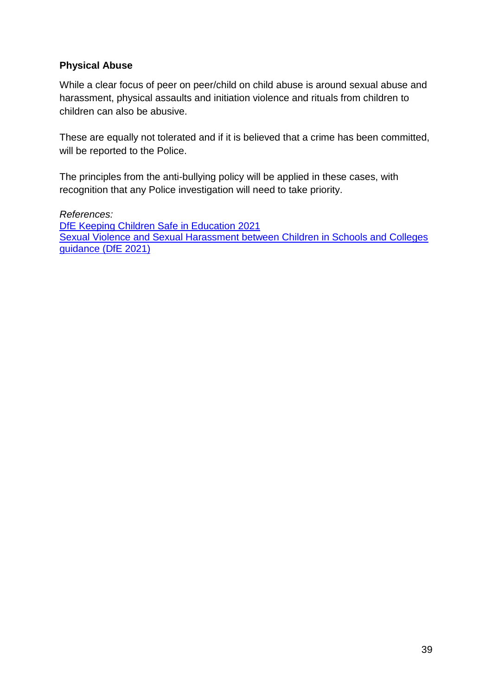#### <span id="page-38-0"></span>**Physical Abuse**

While a clear focus of peer on peer/child on child abuse is around sexual abuse and harassment, physical assaults and initiation violence and rituals from children to children can also be abusive.

These are equally not tolerated and if it is believed that a crime has been committed, will be reported to the Police.

The principles from the anti-bullying policy will be applied in these cases, with recognition that any Police investigation will need to take priority.

*References:* [DfE Keeping Children Safe in Education 2021](https://www.gov.uk/government/publications/keeping-children-safe-in-education--2) [Sexual Violence and Sexual Harassment between Children in Schools and Colleges](https://www.gov.uk/government/publications/sexual-violence-and-sexual-harassment-between-children-in-schools-and-collegesBe)  [guidance \(DfE 2021\)](https://www.gov.uk/government/publications/sexual-violence-and-sexual-harassment-between-children-in-schools-and-collegesBe)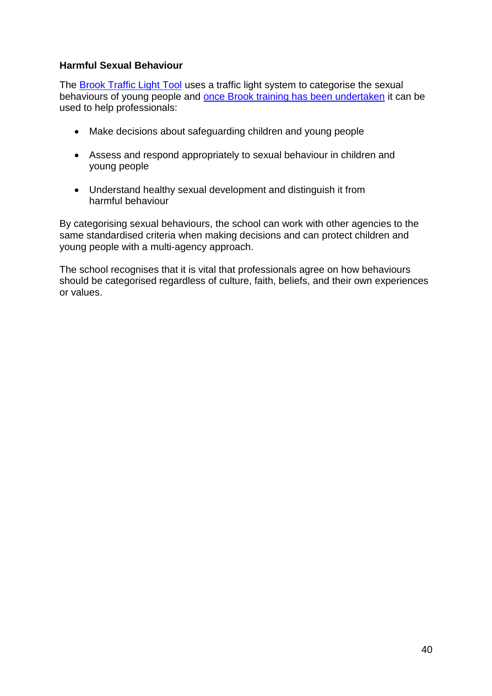#### <span id="page-39-0"></span>**Harmful Sexual Behaviour**

The **Brook Traffic Light Tool** uses a traffic light system to categorise the sexual behaviours of young people and once Brook training [has been undertaken](https://www.brook.org.uk/training/wider-professional-training/sexual-behaviours-traffic-light-tool/#tlttraining) it can be used to help professionals:

- Make decisions about safeguarding children and young people
- Assess and respond appropriately to sexual behaviour in children and young people
- Understand healthy sexual development and distinguish it from harmful behaviour

By categorising sexual behaviours, the school can work with other agencies to the same standardised criteria when making decisions and can protect children and young people with a multi-agency approach.

The school recognises that it is vital that professionals agree on how behaviours should be categorised regardless of culture, faith, beliefs, and their own experiences or values.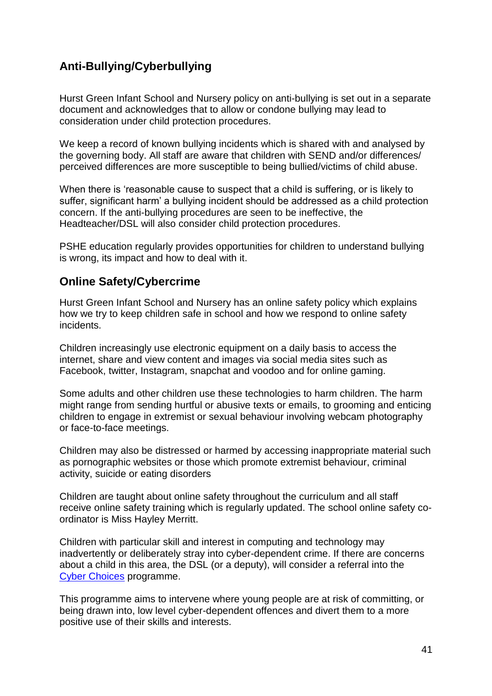## <span id="page-40-0"></span>**Anti-Bullying/Cyberbullying**

Hurst Green Infant School and Nursery policy on anti-bullying is set out in a separate document and acknowledges that to allow or condone bullying may lead to consideration under child protection procedures.

We keep a record of known bullying incidents which is shared with and analysed by the governing body. All staff are aware that children with SEND and/or differences/ perceived differences are more susceptible to being bullied/victims of child abuse.

When there is 'reasonable cause to suspect that a child is suffering, or is likely to suffer, significant harm' a bullying incident should be addressed as a child protection concern. If the anti-bullying procedures are seen to be ineffective, the Headteacher/DSL will also consider child protection procedures.

PSHE education regularly provides opportunities for children to understand bullying is wrong, its impact and how to deal with it.

## <span id="page-40-1"></span>**Online Safety/Cybercrime**

Hurst Green Infant School and Nursery has an online safety policy which explains how we try to keep children safe in school and how we respond to online safety incidents.

Children increasingly use electronic equipment on a daily basis to access the internet, share and view content and images via social media sites such as Facebook, twitter, Instagram, snapchat and voodoo and for online gaming.

Some adults and other children use these technologies to harm children. The harm might range from sending hurtful or abusive texts or emails, to grooming and enticing children to engage in extremist or sexual behaviour involving webcam photography or face-to-face meetings.

Children may also be distressed or harmed by accessing inappropriate material such as pornographic websites or those which promote extremist behaviour, criminal activity, suicide or eating disorders

Children are taught about online safety throughout the curriculum and all staff receive online safety training which is regularly updated. The school online safety coordinator is Miss Hayley Merritt.

Children with particular skill and interest in computing and technology may inadvertently or deliberately stray into cyber-dependent crime. If there are concerns about a child in this area, the DSL (or a deputy), will consider a referral into the [Cyber Choices](http://www.cyberchoices.uk/) programme.

This programme aims to intervene where young people are at risk of committing, or being drawn into, low level cyber-dependent offences and divert them to a more positive use of their skills and interests.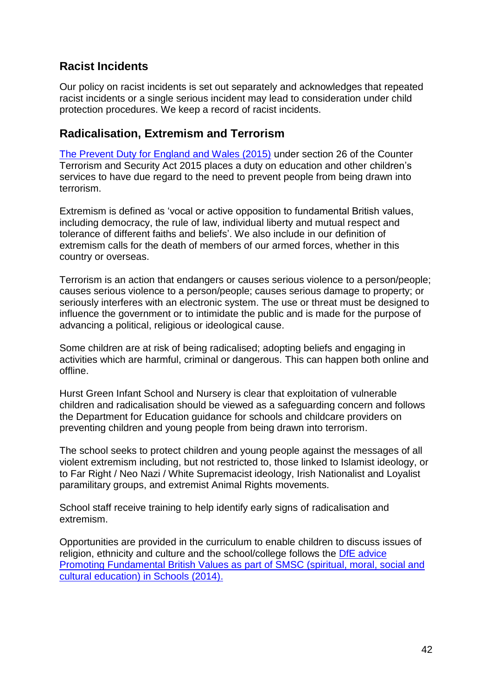## <span id="page-41-0"></span>**Racist Incidents**

Our policy on racist incidents is set out separately and acknowledges that repeated racist incidents or a single serious incident may lead to consideration under child protection procedures. We keep a record of racist incidents.

## <span id="page-41-1"></span>**Radicalisation, Extremism and Terrorism**

[The Prevent Duty for England and Wales \(2015\)](https://www.gov.uk/government/publications/protecting-children-from-radicalisation-the-prevent-duty) under section 26 of the Counter Terrorism and Security Act 2015 places a duty on education and other children's services to have due regard to the need to prevent people from being drawn into terrorism.

Extremism is defined as 'vocal or active opposition to fundamental British values, including democracy, the rule of law, individual liberty and mutual respect and tolerance of different faiths and beliefs'. We also include in our definition of extremism calls for the death of members of our armed forces, whether in this country or overseas.

Terrorism is an action that endangers or causes serious violence to a person/people; causes serious violence to a person/people; causes serious damage to property; or seriously interferes with an electronic system. The use or threat must be designed to influence the government or to intimidate the public and is made for the purpose of advancing a political, religious or ideological cause.

Some children are at risk of being radicalised; adopting beliefs and engaging in activities which are harmful, criminal or dangerous. This can happen both online and offline.

Hurst Green Infant School and Nursery is clear that exploitation of vulnerable children and radicalisation should be viewed as a safeguarding concern and follows the Department for Education guidance for schools and childcare providers on preventing children and young people from being drawn into terrorism.

The school seeks to protect children and young people against the messages of all violent extremism including, but not restricted to, those linked to Islamist ideology, or to Far Right / Neo Nazi / White Supremacist ideology, Irish Nationalist and Loyalist paramilitary groups, and extremist Animal Rights movements.

School staff receive training to help identify early signs of radicalisation and extremism.

Opportunities are provided in the curriculum to enable children to discuss issues of religion, ethnicity and culture and the school/college follows the [DfE advice](https://www.gov.uk/government/news/guidance-on-promoting-british-values-in-schools-published)  [Promoting Fundamental British Values as part of SMSC \(spiritual, moral, social and](https://www.gov.uk/government/news/guidance-on-promoting-british-values-in-schools-published)  [cultural education\) in Schools \(2014\).](https://www.gov.uk/government/news/guidance-on-promoting-british-values-in-schools-published)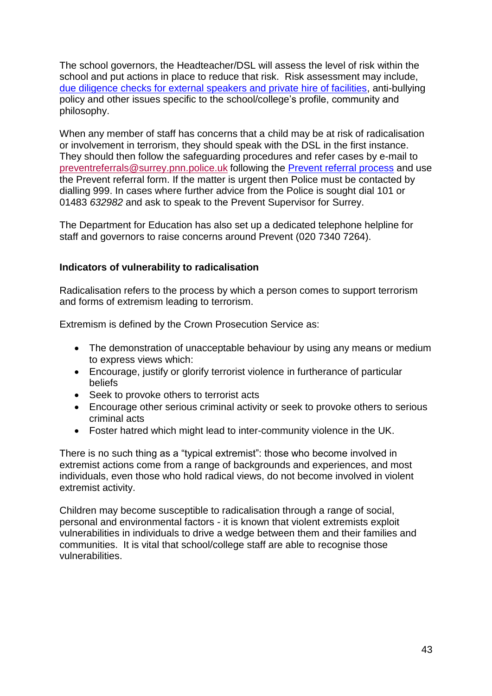The school governors, the Headteacher/DSL will assess the level of risk within the school and put actions in place to reduce that risk. Risk assessment may include, [due diligence checks for external speakers and private hire of facilities,](https://www.surreycc.gov.uk/__data/assets/word_doc/0008/154655/Due-diligence-checks-for-External-Speakers-and-Private-Hire-of-Facilities-January-2018.docx) anti-bullying policy and other issues specific to the school/college's profile, community and philosophy.

When any member of staff has concerns that a child may be at risk of radicalisation or involvement in terrorism, they should speak with the DSL in the first instance. They should then follow the safeguarding procedures and refer cases by e-mail to [preventreferrals@surrey.pnn.police.uk](mailto:preventreferrals@surrey.pnn.police.uk) following the [Prevent referral process](https://www.surreyscb.org.uk/2018/12/16/prevent-referral-process-september-2018/) and use the Prevent referral form. If the matter is urgent then Police must be contacted by dialling 999. In cases where further advice from the Police is sought dial 101 or 01483 *632982* and ask to speak to the Prevent Supervisor for Surrey.

The Department for Education has also set up a dedicated telephone helpline for staff and governors to raise concerns around Prevent (020 7340 7264).

#### <span id="page-42-0"></span>**Indicators of vulnerability to radicalisation**

Radicalisation refers to the process by which a person comes to support terrorism and forms of extremism leading to terrorism.

Extremism is defined by the Crown Prosecution Service as:

- The demonstration of unacceptable behaviour by using any means or medium to express views which:
- Encourage, justify or glorify terrorist violence in furtherance of particular beliefs
- Seek to provoke others to terrorist acts
- Encourage other serious criminal activity or seek to provoke others to serious criminal acts
- Foster hatred which might lead to inter-community violence in the UK.

There is no such thing as a "typical extremist": those who become involved in extremist actions come from a range of backgrounds and experiences, and most individuals, even those who hold radical views, do not become involved in violent extremist activity.

Children may become susceptible to radicalisation through a range of social, personal and environmental factors - it is known that violent extremists exploit vulnerabilities in individuals to drive a wedge between them and their families and communities. It is vital that school/college staff are able to recognise those vulnerabilities.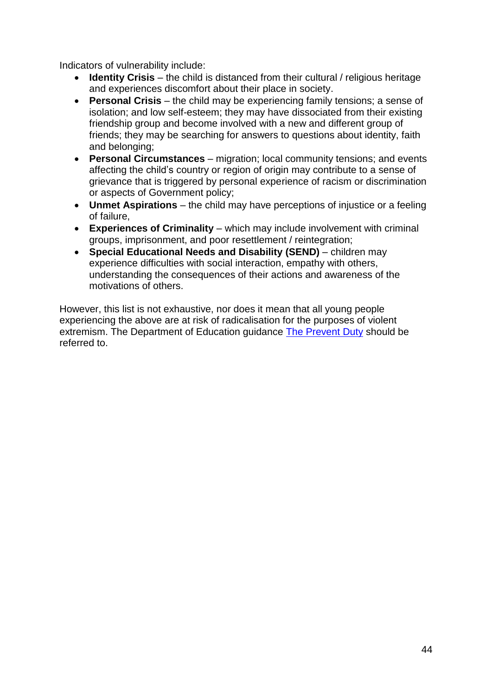Indicators of vulnerability include:

- **Identity Crisis** the child is distanced from their cultural / religious heritage and experiences discomfort about their place in society.
- **Personal Crisis** the child may be experiencing family tensions; a sense of isolation; and low self-esteem; they may have dissociated from their existing friendship group and become involved with a new and different group of friends; they may be searching for answers to questions about identity, faith and belonging;
- **Personal Circumstances** migration; local community tensions; and events affecting the child's country or region of origin may contribute to a sense of grievance that is triggered by personal experience of racism or discrimination or aspects of Government policy;
- **Unmet Aspirations** the child may have perceptions of injustice or a feeling of failure,
- **Experiences of Criminality** which may include involvement with criminal groups, imprisonment, and poor resettlement / reintegration;
- **Special Educational Needs and Disability (SEND)** children may experience difficulties with social interaction, empathy with others, understanding the consequences of their actions and awareness of the motivations of others.

However, this list is not exhaustive, nor does it mean that all young people experiencing the above are at risk of radicalisation for the purposes of violent extremism. The Department of Education guidance [The Prevent Duty](https://www.gov.uk/government/publications/protecting-children-from-radicalisation-the-prevent-duty) should be referred to.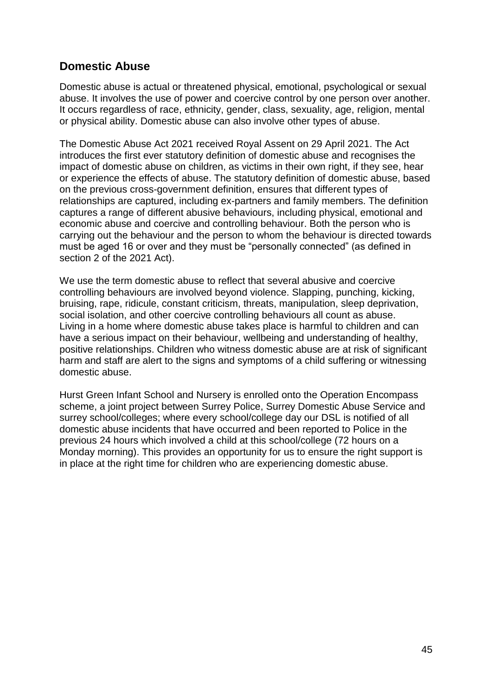## <span id="page-44-0"></span>**Domestic Abuse**

Domestic abuse is actual or threatened physical, emotional, psychological or sexual abuse. It involves the use of power and coercive control by one person over another. It occurs regardless of race, ethnicity, gender, class, sexuality, age, religion, mental or physical ability. Domestic abuse can also involve other types of abuse.

The Domestic Abuse Act 2021 received Royal Assent on 29 April 2021. The Act introduces the first ever statutory definition of domestic abuse and recognises the impact of domestic abuse on children, as victims in their own right, if they see, hear or experience the effects of abuse. The statutory definition of domestic abuse, based on the previous cross-government definition, ensures that different types of relationships are captured, including ex-partners and family members. The definition captures a range of different abusive behaviours, including physical, emotional and economic abuse and coercive and controlling behaviour. Both the person who is carrying out the behaviour and the person to whom the behaviour is directed towards must be aged 16 or over and they must be "personally connected" (as defined in section 2 of the 2021 Act).

We use the term domestic abuse to reflect that several abusive and coercive controlling behaviours are involved beyond violence. Slapping, punching, kicking, bruising, rape, ridicule, constant criticism, threats, manipulation, sleep deprivation, social isolation, and other coercive controlling behaviours all count as abuse. Living in a home where domestic abuse takes place is harmful to children and can have a serious impact on their behaviour, wellbeing and understanding of healthy, positive relationships. Children who witness domestic abuse are at risk of significant harm and staff are alert to the signs and symptoms of a child suffering or witnessing domestic abuse.

Hurst Green Infant School and Nursery is enrolled onto the Operation Encompass scheme, a joint project between Surrey Police, Surrey Domestic Abuse Service and surrey school/colleges; where every school/college day our DSL is notified of all domestic abuse incidents that have occurred and been reported to Police in the previous 24 hours which involved a child at this school/college (72 hours on a Monday morning). This provides an opportunity for us to ensure the right support is in place at the right time for children who are experiencing domestic abuse.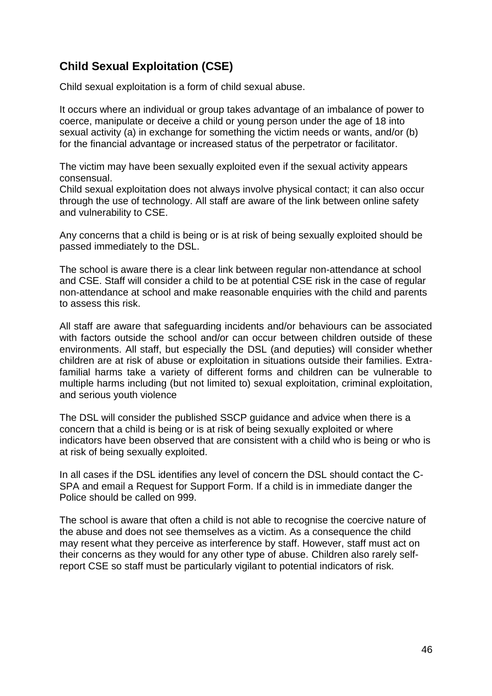# <span id="page-45-0"></span>**Child Sexual Exploitation (CSE)**

Child sexual exploitation is a form of child sexual abuse.

It occurs where an individual or group takes advantage of an imbalance of power to coerce, manipulate or deceive a child or young person under the age of 18 into sexual activity (a) in exchange for something the victim needs or wants, and/or (b) for the financial advantage or increased status of the perpetrator or facilitator.

The victim may have been sexually exploited even if the sexual activity appears consensual.

Child sexual exploitation does not always involve physical contact; it can also occur through the use of technology. All staff are aware of the link between online safety and vulnerability to CSE.

Any concerns that a child is being or is at risk of being sexually exploited should be passed immediately to the DSL.

The school is aware there is a clear link between regular non-attendance at school and CSE. Staff will consider a child to be at potential CSE risk in the case of regular non-attendance at school and make reasonable enquiries with the child and parents to assess this risk.

All staff are aware that safeguarding incidents and/or behaviours can be associated with factors outside the school and/or can occur between children outside of these environments. All staff, but especially the DSL (and deputies) will consider whether children are at risk of abuse or exploitation in situations outside their families. Extrafamilial harms take a variety of different forms and children can be vulnerable to multiple harms including (but not limited to) sexual exploitation, criminal exploitation, and serious youth violence

The DSL will consider the published SSCP guidance and advice when there is a concern that a child is being or is at risk of being sexually exploited or where indicators have been observed that are consistent with a child who is being or who is at risk of being sexually exploited.

In all cases if the DSL identifies any level of concern the DSL should contact the C-SPA and email a Request for Support Form. If a child is in immediate danger the Police should be called on 999.

The school is aware that often a child is not able to recognise the coercive nature of the abuse and does not see themselves as a victim. As a consequence the child may resent what they perceive as interference by staff. However, staff must act on their concerns as they would for any other type of abuse. Children also rarely selfreport CSE so staff must be particularly vigilant to potential indicators of risk.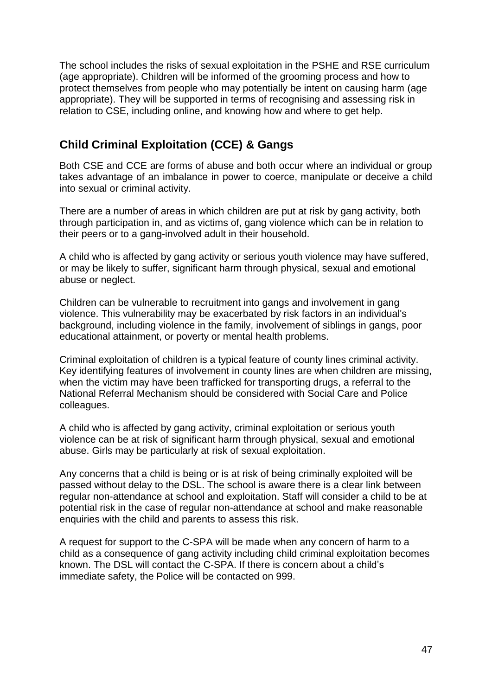The school includes the risks of sexual exploitation in the PSHE and RSE curriculum (age appropriate). Children will be informed of the grooming process and how to protect themselves from people who may potentially be intent on causing harm (age appropriate). They will be supported in terms of recognising and assessing risk in relation to CSE, including online, and knowing how and where to get help.

## <span id="page-46-0"></span>**Child Criminal Exploitation (CCE) & Gangs**

Both CSE and CCE are forms of abuse and both occur where an individual or group takes advantage of an imbalance in power to coerce, manipulate or deceive a child into sexual or criminal activity.

There are a number of areas in which children are put at risk by gang activity, both through participation in, and as victims of, gang violence which can be in relation to their peers or to a gang-involved adult in their household.

A child who is affected by gang activity or serious youth violence may have suffered, or may be likely to suffer, significant harm through physical, sexual and emotional abuse or neglect.

Children can be vulnerable to recruitment into gangs and involvement in gang violence. This vulnerability may be exacerbated by risk factors in an individual's background, including violence in the family, involvement of siblings in gangs, poor educational attainment, or poverty or mental health problems.

Criminal exploitation of children is a typical feature of county lines criminal activity. Key identifying features of involvement in county lines are when children are missing, when the victim may have been trafficked for transporting drugs, a referral to the National Referral Mechanism should be considered with Social Care and Police colleagues.

A child who is affected by gang activity, criminal exploitation or serious youth violence can be at risk of significant harm through physical, sexual and emotional abuse. Girls may be particularly at risk of sexual exploitation.

Any concerns that a child is being or is at risk of being criminally exploited will be passed without delay to the DSL. The school is aware there is a clear link between regular non-attendance at school and exploitation. Staff will consider a child to be at potential risk in the case of regular non-attendance at school and make reasonable enquiries with the child and parents to assess this risk.

A request for support to the C-SPA will be made when any concern of harm to a child as a consequence of gang activity including child criminal exploitation becomes known. The DSL will contact the C-SPA. If there is concern about a child's immediate safety, the Police will be contacted on 999.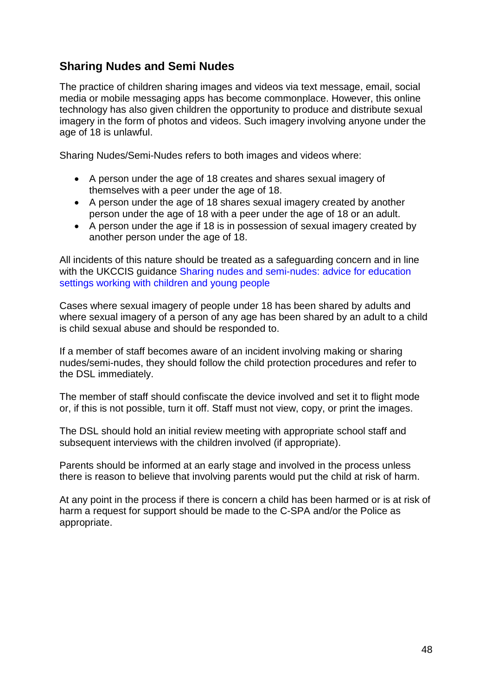## <span id="page-47-0"></span>**Sharing Nudes and Semi Nudes**

The practice of children sharing images and videos via text message, email, social media or mobile messaging apps has become commonplace. However, this online technology has also given children the opportunity to produce and distribute sexual imagery in the form of photos and videos. Such imagery involving anyone under the age of 18 is unlawful.

Sharing Nudes/Semi-Nudes refers to both images and videos where:

- A person under the age of 18 creates and shares sexual imagery of themselves with a peer under the age of 18.
- A person under the age of 18 shares sexual imagery created by another person under the age of 18 with a peer under the age of 18 or an adult.
- A person under the age if 18 is in possession of sexual imagery created by another person under the age of 18.

All incidents of this nature should be treated as a safeguarding concern and in line with the UKCCIS guidance Sharing nudes and semi-nudes: advice for education [settings working with children and young people](https://www.gov.uk/government/publications/sharing-nudes-and-semi-nudes-advice-for-education-settings-working-with-children-and-young-people/sharing-nudes-and-semi-nudes-advice-for-education-settings-working-with-children-and-young-people)

Cases where sexual imagery of people under 18 has been shared by adults and where sexual imagery of a person of any age has been shared by an adult to a child is child sexual abuse and should be responded to.

If a member of staff becomes aware of an incident involving making or sharing nudes/semi-nudes, they should follow the child protection procedures and refer to the DSL immediately.

The member of staff should confiscate the device involved and set it to flight mode or, if this is not possible, turn it off. Staff must not view, copy, or print the images.

The DSL should hold an initial review meeting with appropriate school staff and subsequent interviews with the children involved (if appropriate).

Parents should be informed at an early stage and involved in the process unless there is reason to believe that involving parents would put the child at risk of harm.

At any point in the process if there is concern a child has been harmed or is at risk of harm a request for support should be made to the C-SPA and/or the Police as appropriate.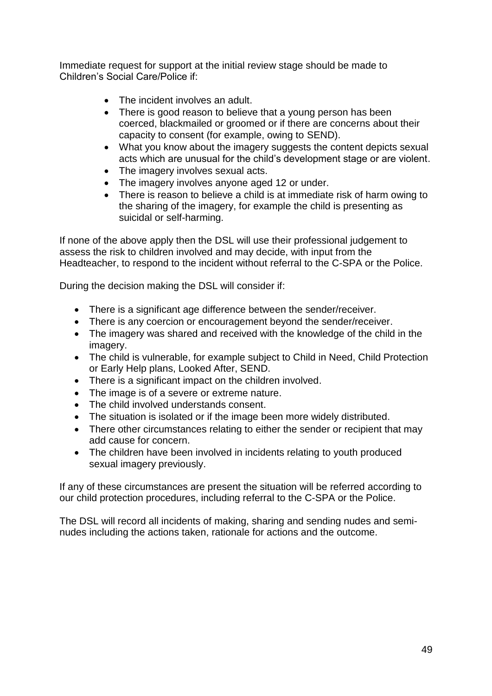Immediate request for support at the initial review stage should be made to Children's Social Care/Police if:

- The incident involves an adult
- There is good reason to believe that a young person has been coerced, blackmailed or groomed or if there are concerns about their capacity to consent (for example, owing to SEND).
- What you know about the imagery suggests the content depicts sexual acts which are unusual for the child's development stage or are violent.
- The imagery involves sexual acts.
- The imagery involves anyone aged 12 or under.
- There is reason to believe a child is at immediate risk of harm owing to the sharing of the imagery, for example the child is presenting as suicidal or self-harming.

If none of the above apply then the DSL will use their professional judgement to assess the risk to children involved and may decide, with input from the Headteacher, to respond to the incident without referral to the C-SPA or the Police.

During the decision making the DSL will consider if:

- There is a significant age difference between the sender/receiver.
- There is any coercion or encouragement beyond the sender/receiver.
- The imagery was shared and received with the knowledge of the child in the imagery.
- The child is vulnerable, for example subject to Child in Need, Child Protection or Early Help plans, Looked After, SEND.
- There is a significant impact on the children involved.
- The image is of a severe or extreme nature.
- The child involved understands consent.
- The situation is isolated or if the image been more widely distributed.
- There other circumstances relating to either the sender or recipient that may add cause for concern.
- The children have been involved in incidents relating to youth produced sexual imagery previously.

If any of these circumstances are present the situation will be referred according to our child protection procedures, including referral to the C-SPA or the Police.

The DSL will record all incidents of making, sharing and sending nudes and seminudes including the actions taken, rationale for actions and the outcome.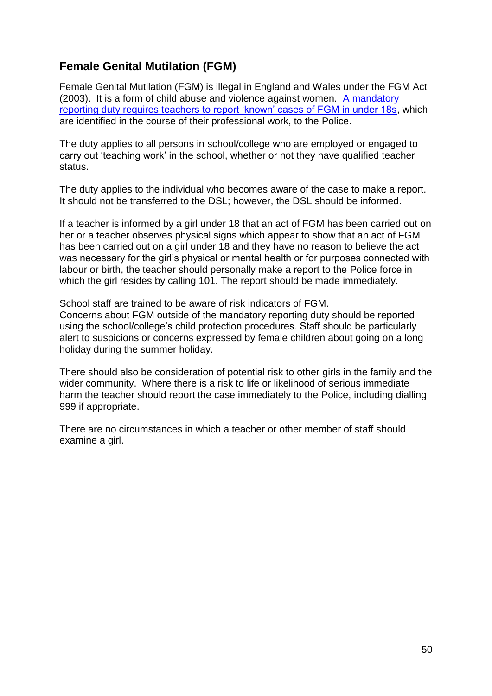## <span id="page-49-0"></span>**Female Genital Mutilation (FGM)**

Female Genital Mutilation (FGM) is illegal in England and Wales under the FGM Act (2003). It is a form of child abuse and violence against women. [A mandatory](https://www.gov.uk/government/publications/mandatory-reporting-of-female-genital-mutilation-procedural-information)  [reporting duty requires teachers to report 'known' cases of FGM in under 18s,](https://www.gov.uk/government/publications/mandatory-reporting-of-female-genital-mutilation-procedural-information) which are identified in the course of their professional work, to the Police.

The duty applies to all persons in school/college who are employed or engaged to carry out 'teaching work' in the school, whether or not they have qualified teacher status.

The duty applies to the individual who becomes aware of the case to make a report. It should not be transferred to the DSL; however, the DSL should be informed.

If a teacher is informed by a girl under 18 that an act of FGM has been carried out on her or a teacher observes physical signs which appear to show that an act of FGM has been carried out on a girl under 18 and they have no reason to believe the act was necessary for the girl's physical or mental health or for purposes connected with labour or birth, the teacher should personally make a report to the Police force in which the girl resides by calling 101. The report should be made immediately.

School staff are trained to be aware of risk indicators of FGM.

Concerns about FGM outside of the mandatory reporting duty should be reported using the school/college's child protection procedures. Staff should be particularly alert to suspicions or concerns expressed by female children about going on a long holiday during the summer holiday.

There should also be consideration of potential risk to other girls in the family and the wider community. Where there is a risk to life or likelihood of serious immediate harm the teacher should report the case immediately to the Police, including dialling 999 if appropriate.

There are no circumstances in which a teacher or other member of staff should examine a girl.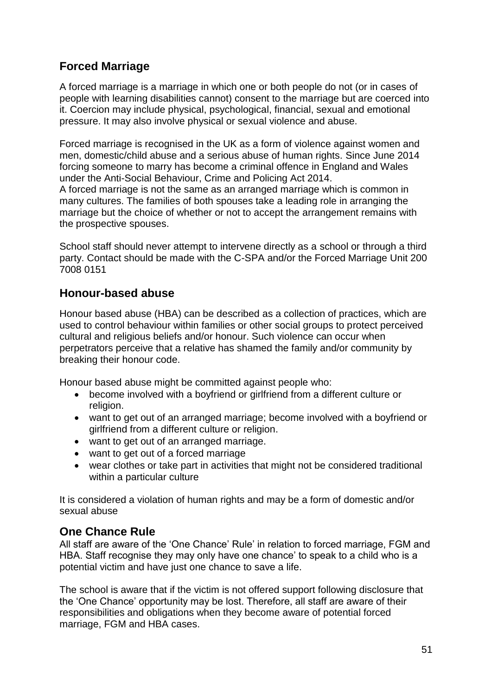## <span id="page-50-0"></span>**Forced Marriage**

A forced marriage is a marriage in which one or both people do not (or in cases of people with learning disabilities cannot) consent to the marriage but are coerced into it. Coercion may include physical, psychological, financial, sexual and emotional pressure. It may also involve physical or sexual violence and abuse.

Forced marriage is recognised in the UK as a form of violence against women and men, domestic/child abuse and a serious abuse of human rights. Since June 2014 forcing someone to marry has become a criminal offence in England and Wales under the Anti-Social Behaviour, Crime and Policing Act 2014.

A forced marriage is not the same as an arranged marriage which is common in many cultures. The families of both spouses take a leading role in arranging the marriage but the choice of whether or not to accept the arrangement remains with the prospective spouses.

School staff should never attempt to intervene directly as a school or through a third party. Contact should be made with the C-SPA and/or the Forced Marriage Unit 200 7008 0151

## <span id="page-50-1"></span>**Honour-based abuse**

Honour based abuse (HBA) can be described as a collection of practices, which are used to control behaviour within families or other social groups to protect perceived cultural and religious beliefs and/or honour. Such violence can occur when perpetrators perceive that a relative has shamed the family and/or community by breaking their honour code.

Honour based abuse might be committed against people who:

- become involved with a boyfriend or girlfriend from a different culture or religion.
- want to get out of an arranged marriage; become involved with a boyfriend or girlfriend from a different culture or religion.
- want to get out of an arranged marriage.
- want to get out of a forced marriage
- wear clothes or take part in activities that might not be considered traditional within a particular culture

It is considered a violation of human rights and may be a form of domestic and/or sexual abuse

## <span id="page-50-2"></span>**One Chance Rule**

All staff are aware of the 'One Chance' Rule' in relation to forced marriage, FGM and HBA. Staff recognise they may only have one chance' to speak to a child who is a potential victim and have just one chance to save a life.

The school is aware that if the victim is not offered support following disclosure that the 'One Chance' opportunity may be lost. Therefore, all staff are aware of their responsibilities and obligations when they become aware of potential forced marriage, FGM and HBA cases.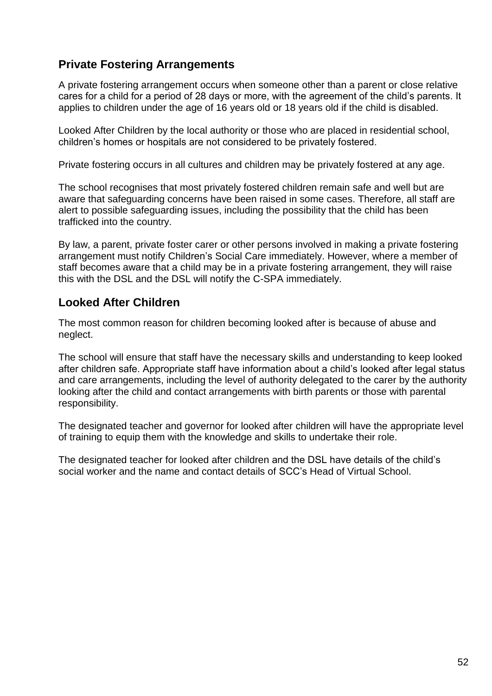## <span id="page-51-0"></span>**Private Fostering Arrangements**

A private fostering arrangement occurs when someone other than a parent or close relative cares for a child for a period of 28 days or more, with the agreement of the child's parents. It applies to children under the age of 16 years old or 18 years old if the child is disabled.

Looked After Children by the local authority or those who are placed in residential school, children's homes or hospitals are not considered to be privately fostered.

Private fostering occurs in all cultures and children may be privately fostered at any age.

The school recognises that most privately fostered children remain safe and well but are aware that safeguarding concerns have been raised in some cases. Therefore, all staff are alert to possible safeguarding issues, including the possibility that the child has been trafficked into the country.

By law, a parent, private foster carer or other persons involved in making a private fostering arrangement must notify Children's Social Care immediately. However, where a member of staff becomes aware that a child may be in a private fostering arrangement, they will raise this with the DSL and the DSL will notify the C-SPA immediately.

## <span id="page-51-1"></span>**Looked After Children**

The most common reason for children becoming looked after is because of abuse and neglect.

The school will ensure that staff have the necessary skills and understanding to keep looked after children safe. Appropriate staff have information about a child's looked after legal status and care arrangements, including the level of authority delegated to the carer by the authority looking after the child and contact arrangements with birth parents or those with parental responsibility.

The designated teacher and governor for looked after children will have the appropriate level of training to equip them with the knowledge and skills to undertake their role.

The designated teacher for looked after children and the DSL have details of the child's social worker and the name and contact details of SCC's Head of Virtual School.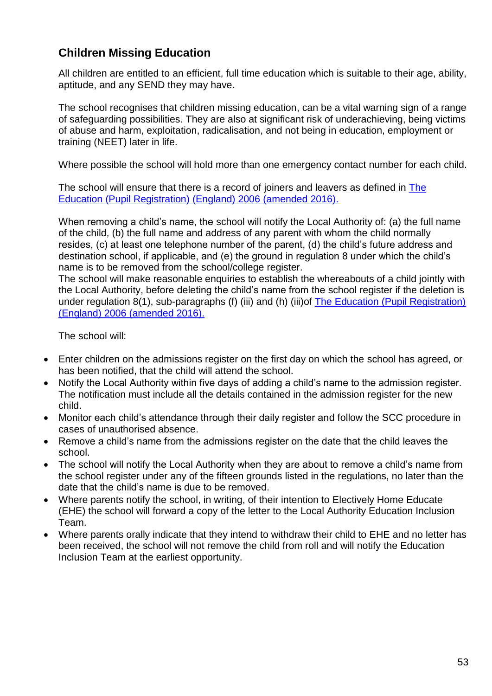# <span id="page-52-0"></span>**Children Missing Education**

All children are entitled to an efficient, full time education which is suitable to their age, ability, aptitude, and any SEND they may have.

The school recognises that children missing education, can be a vital warning sign of a range of safeguarding possibilities. They are also at significant risk of underachieving, being victims of abuse and harm, exploitation, radicalisation, and not being in education, employment or training (NEET) later in life.

Where possible the school will hold more than one emergency contact number for each child.

The school will ensure that there is a record of joiners and leavers as defined in [The](https://www.kelsi.org.uk/news-and-events/news/primary/changes-to-the-education-pupil-registration-england-regulations-2006)  [Education \(Pupil Registration\) \(England\) 2006](https://www.kelsi.org.uk/news-and-events/news/primary/changes-to-the-education-pupil-registration-england-regulations-2006) (amended 2016).

When removing a child's name, the school will notify the Local Authority of: (a) the full name of the child, (b) the full name and address of any parent with whom the child normally resides, (c) at least one telephone number of the parent, (d) the child's future address and destination school, if applicable, and (e) the ground in regulation 8 under which the child's name is to be removed from the school/college register.

The school will make reasonable enquiries to establish the whereabouts of a child jointly with the Local Authority, before deleting the child's name from the school register if the deletion is under regulation 8(1), sub-paragraphs (f) (iii) and (h) (iii)of [The Education \(Pupil Registration\)](https://www.kelsi.org.uk/news-and-events/news/primary/changes-to-the-education-pupil-registration-england-regulations-2006)  (England) 2006 [\(amended 2016\).](https://www.kelsi.org.uk/news-and-events/news/primary/changes-to-the-education-pupil-registration-england-regulations-2006)

The school will:

- Enter children on the admissions register on the first day on which the school has agreed, or has been notified, that the child will attend the school.
- Notify the Local Authority within five days of adding a child's name to the admission register. The notification must include all the details contained in the admission register for the new child.
- Monitor each child's attendance through their daily register and follow the SCC procedure in cases of unauthorised absence.
- Remove a child's name from the admissions register on the date that the child leaves the school.
- The school will notify the Local Authority when they are about to remove a child's name from the school register under any of the fifteen grounds listed in the regulations, no later than the date that the child's name is due to be removed.
- Where parents notify the school, in writing, of their intention to Electively Home Educate (EHE) the school will forward a copy of the letter to the Local Authority Education Inclusion Team.
- Where parents orally indicate that they intend to withdraw their child to EHE and no letter has been received, the school will not remove the child from roll and will notify the Education Inclusion Team at the earliest opportunity.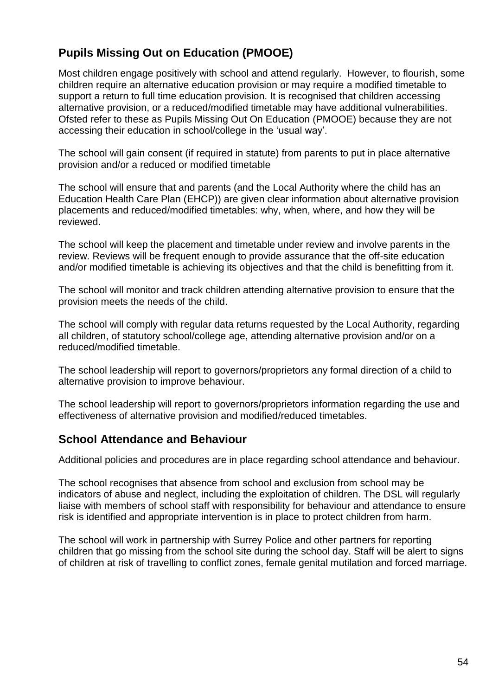# <span id="page-53-0"></span>**Pupils Missing Out on Education (PMOOE)**

Most children engage positively with school and attend regularly. However, to flourish, some children require an alternative education provision or may require a modified timetable to support a return to full time education provision. It is recognised that children accessing alternative provision, or a reduced/modified timetable may have additional vulnerabilities. Ofsted refer to these as Pupils Missing Out On Education (PMOOE) because they are not accessing their education in school/college in the 'usual way'.

The school will gain consent (if required in statute) from parents to put in place alternative provision and/or a reduced or modified timetable

The school will ensure that and parents (and the Local Authority where the child has an Education Health Care Plan (EHCP)) are given clear information about alternative provision placements and reduced/modified timetables: why, when, where, and how they will be reviewed.

The school will keep the placement and timetable under review and involve parents in the review. Reviews will be frequent enough to provide assurance that the off-site education and/or modified timetable is achieving its objectives and that the child is benefitting from it.

The school will monitor and track children attending alternative provision to ensure that the provision meets the needs of the child.

The school will comply with regular data returns requested by the Local Authority, regarding all children, of statutory school/college age, attending alternative provision and/or on a reduced/modified timetable.

The school leadership will report to governors/proprietors any formal direction of a child to alternative provision to improve behaviour.

The school leadership will report to governors/proprietors information regarding the use and effectiveness of alternative provision and modified/reduced timetables.

## <span id="page-53-1"></span>**School Attendance and Behaviour**

Additional policies and procedures are in place regarding school attendance and behaviour.

The school recognises that absence from school and exclusion from school may be indicators of abuse and neglect, including the exploitation of children. The DSL will regularly liaise with members of school staff with responsibility for behaviour and attendance to ensure risk is identified and appropriate intervention is in place to protect children from harm.

The school will work in partnership with Surrey Police and other partners for reporting children that go missing from the school site during the school day. Staff will be alert to signs of children at risk of travelling to conflict zones, female genital mutilation and forced marriage.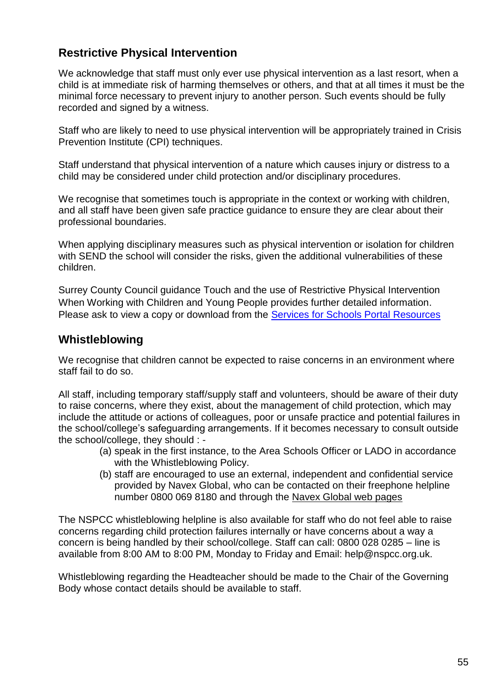# <span id="page-54-0"></span>**Restrictive Physical Intervention**

We acknowledge that staff must only ever use physical intervention as a last resort, when a child is at immediate risk of harming themselves or others, and that at all times it must be the minimal force necessary to prevent injury to another person. Such events should be fully recorded and signed by a witness.

Staff who are likely to need to use physical intervention will be appropriately trained in Crisis Prevention Institute (CPI) techniques.

Staff understand that physical intervention of a nature which causes injury or distress to a child may be considered under child protection and/or disciplinary procedures.

We recognise that sometimes touch is appropriate in the context or working with children, and all staff have been given safe practice guidance to ensure they are clear about their professional boundaries.

When applying disciplinary measures such as physical intervention or isolation for children with SEND the school will consider the risks, given the additional vulnerabilities of these children.

Surrey County Council guidance Touch and the use of Restrictive Physical Intervention When Working with Children and Young People provides further detailed information. Please ask to view a copy or download from the [Services for Schools Portal](https://servicesforschools.surreycc.gov.uk/) Resources

## <span id="page-54-1"></span>**Whistleblowing**

We recognise that children cannot be expected to raise concerns in an environment where staff fail to do so.

All staff, including temporary staff/supply staff and volunteers, should be aware of their duty to raise concerns, where they exist, about the management of child protection, which may include the attitude or actions of colleagues, poor or unsafe practice and potential failures in the school/college's safeguarding arrangements. If it becomes necessary to consult outside the school/college, they should : -

- (a) speak in the first instance, to the Area Schools Officer or LADO in accordance with the Whistleblowing Policy.
- (b) staff are encouraged to use an external, independent and confidential service provided by Navex Global, who can be contacted on their freephone helpline number 0800 069 8180 and through the [Navex Global web pages](https://secure.ethicspoint.eu/domain/media/en/gui/107090/index.html)

The NSPCC whistleblowing helpline is also available for staff who do not feel able to raise concerns regarding child protection failures internally or have concerns about a way a concern is being handled by their school/college. Staff can call: 0800 028 0285 – line is available from 8:00 AM to 8:00 PM, Monday to Friday and Email: help@nspcc.org.uk.

Whistleblowing regarding the Headteacher should be made to the Chair of the Governing Body whose contact details should be available to staff.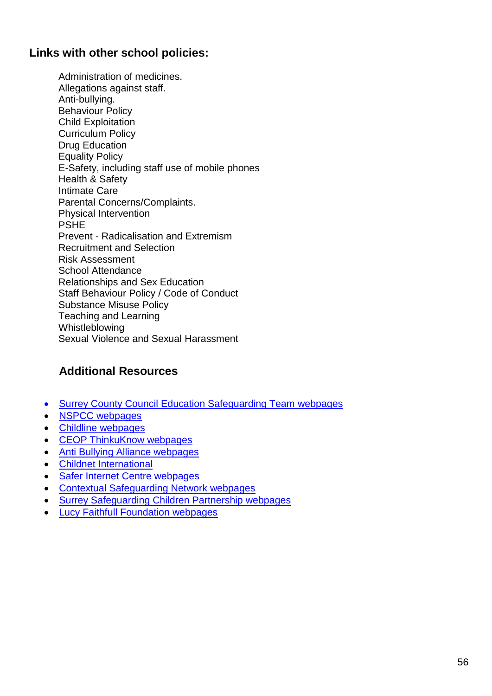# <span id="page-55-0"></span>**Links with other school policies:**

Administration of medicines. Allegations against staff. Anti-bullying. Behaviour Policy Child Exploitation Curriculum Policy Drug Education Equality Policy E-Safety, including staff use of mobile phones Health & Safety Intimate Care Parental Concerns/Complaints. Physical Intervention PSHE Prevent - Radicalisation and Extremism Recruitment and Selection Risk Assessment School Attendance Relationships and Sex Education Staff Behaviour Policy / Code of Conduct Substance Misuse Policy Teaching and Learning Whistleblowing Sexual Violence and Sexual Harassment

# <span id="page-55-1"></span>**Additional Resources**

- [Surrey County Council Education Safeguarding Team](https://www.surreycc.gov.uk/schools-and-learning/teachers-and-education-staff/advice-and-support/safeguarding) webpages
- [NSPCC webpages](http://www.nspcc.org.uk/)
- [Childline webpages](http://www.childline.org.uk/pages/home.aspx)
- [CEOP ThinkuKnow webpages](https://www.thinkuknow.co.uk/)
- [Anti Bullying Alliance webpages](http://anti-bullyingalliance.org.uk/)
- [Childnet International](http://www.childnet.com/)
- [Safer Internet Centre webpages](http://www.saferinternet.org.uk/)
- [Contextual Safeguarding](https://www.contextualsafeguarding.org.uk/) Network webpages
- [Surrey Safeguarding Children Partnership webpages](https://www.surreyscp.org.uk/)
- [Lucy Faithfull Foundation webpages](https://www.lucyfaithfull.org.uk/)